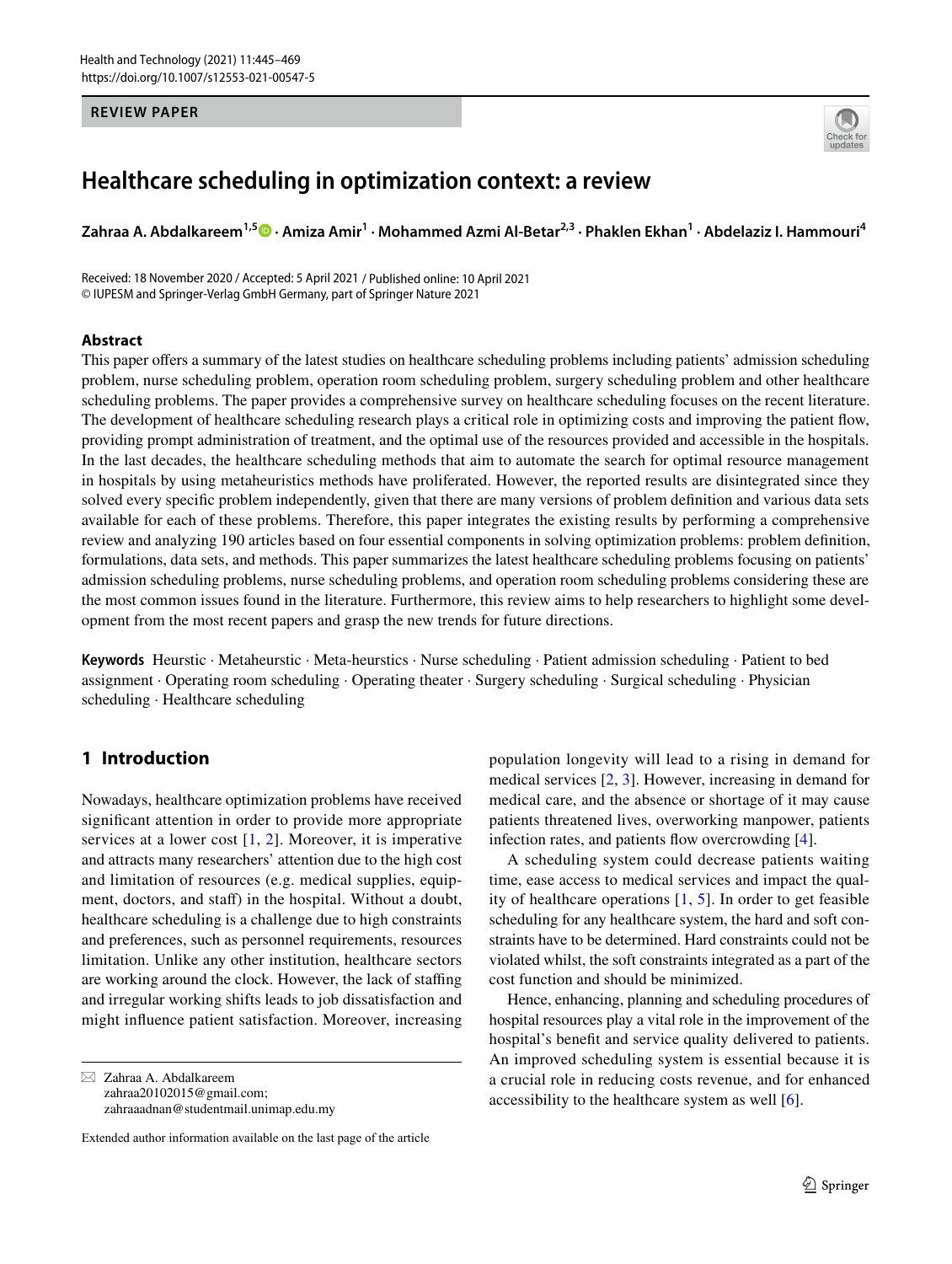#### **REVIEW PAPER**



# **Healthcare scheduling in optimization context: a review**

**Zahraa A. Abdalkareem1,5 · Amiza Amir<sup>1</sup> · Mohammed Azmi Al‑Betar2,3 · Phaklen Ekhan<sup>1</sup> · Abdelaziz I. Hammouri<sup>4</sup>**

Received: 18 November 2020 / Accepted: 5 April 2021 / Published online: 10 April 2021 © IUPESM and Springer-Verlag GmbH Germany, part of Springer Nature 2021

#### **Abstract**

This paper offers a summary of the latest studies on healthcare scheduling problems including patients' admission scheduling problem, nurse scheduling problem, operation room scheduling problem, surgery scheduling problem and other healthcare scheduling problems. The paper provides a comprehensive survey on healthcare scheduling focuses on the recent literature. The development of healthcare scheduling research plays a critical role in optimizing costs and improving the patient flow, providing prompt administration of treatment, and the optimal use of the resources provided and accessible in the hospitals. In the last decades, the healthcare scheduling methods that aim to automate the search for optimal resource management in hospitals by using metaheuristics methods have proliferated. However, the reported results are disintegrated since they solved every specific problem independently, given that there are many versions of problem definition and various data sets available for each of these problems. Therefore, this paper integrates the existing results by performing a comprehensive review and analyzing 190 articles based on four essential components in solving optimization problems: problem definition, formulations, data sets, and methods. This paper summarizes the latest healthcare scheduling problems focusing on patients' admission scheduling problems, nurse scheduling problems, and operation room scheduling problems considering these are the most common issues found in the literature. Furthermore, this review aims to help researchers to highlight some development from the most recent papers and grasp the new trends for future directions.

**Keywords** Heurstic · Metaheurstic · Meta-heurstics · Nurse scheduling · Patient admission scheduling · Patient to bed assignment · Operating room scheduling · Operating theater · Surgery scheduling · Surgical scheduling · Physician scheduling · Healthcare scheduling

### **1 Introduction**

Nowadays, healthcare optimization problems have received significant attention in order to provide more appropriate services at a lower cost  $[1, 2]$  $[1, 2]$  $[1, 2]$  $[1, 2]$ . Moreover, it is imperative and attracts many researchers' attention due to the high cost and limitation of resources (e.g. medical supplies, equipment, doctors, and staff) in the hospital. Without a doubt, healthcare scheduling is a challenge due to high constraints and preferences, such as personnel requirements, resources limitation. Unlike any other institution, healthcare sectors are working around the clock. However, the lack of staffing and irregular working shifts leads to job dissatisfaction and might influence patient satisfaction. Moreover, increasing

 $\boxtimes$  Zahraa A. Abdalkareem zahraa20102015@gmail.com; zahraaadnan@studentmail.unimap.edu.my

Extended author information available on the last page of the article

population longevity will lead to a rising in demand for medical services [\[2](#page-21-1), [3](#page-21-2)]. However, increasing in demand for medical care, and the absence or shortage of it may cause patients threatened lives, overworking manpower, patients infection rates, and patients flow overcrowding [[4\]](#page-21-3).

A scheduling system could decrease patients waiting time, ease access to medical services and impact the quality of healthcare operations [[1,](#page-21-0) [5\]](#page-21-4). In order to get feasible scheduling for any healthcare system, the hard and soft constraints have to be determined. Hard constraints could not be violated whilst, the soft constraints integrated as a part of the cost function and should be minimized.

Hence, enhancing, planning and scheduling procedures of hospital resources play a vital role in the improvement of the hospital's benefit and service quality delivered to patients. An improved scheduling system is essential because it is a crucial role in reducing costs revenue, and for enhanced accessibility to the healthcare system as well [\[6](#page-21-5)].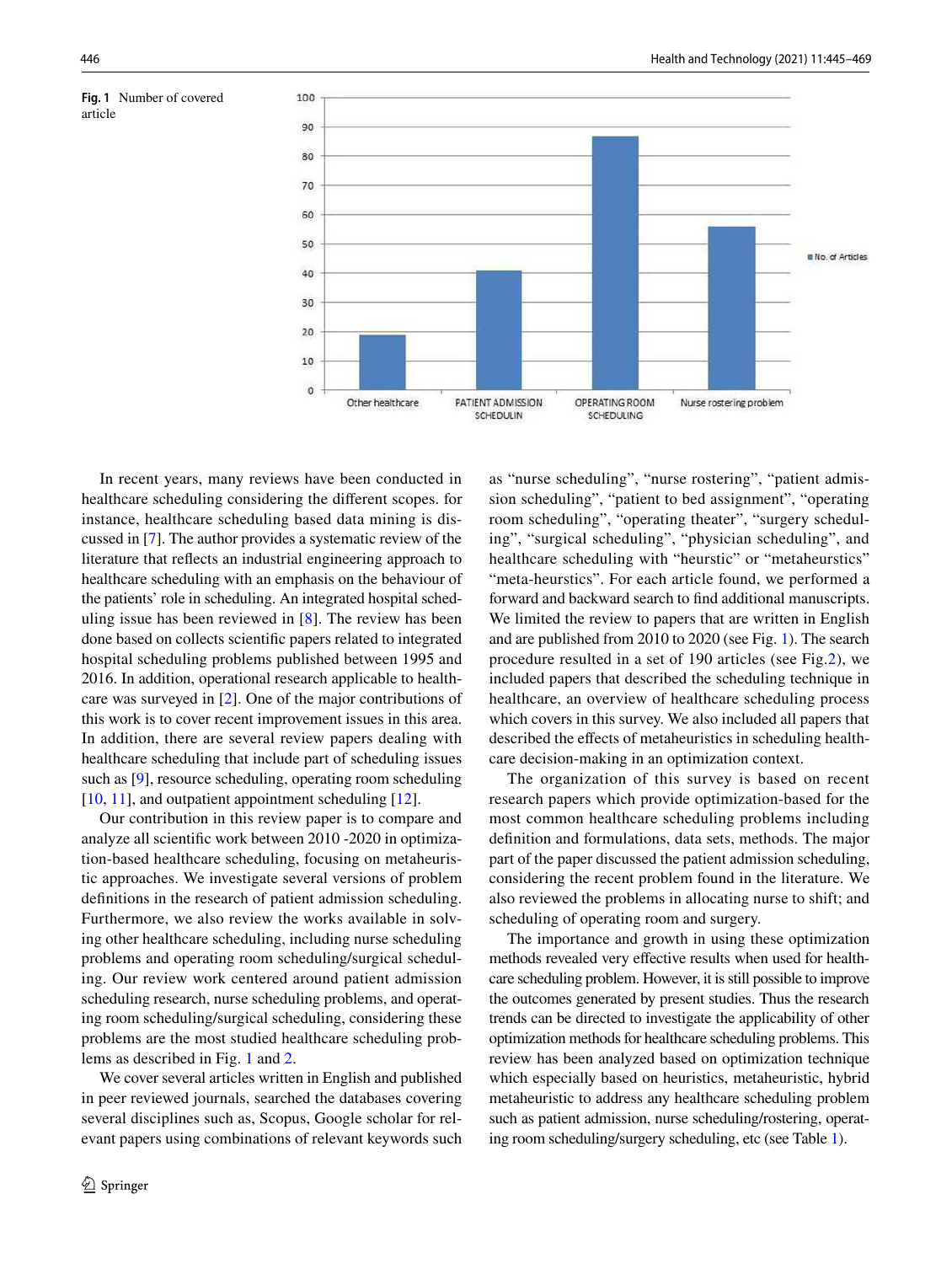<span id="page-1-0"></span>



In recent years, many reviews have been conducted in healthcare scheduling considering the different scopes. for instance, healthcare scheduling based data mining is discussed in [[7\]](#page-21-6). The author provides a systematic review of the literature that reflects an industrial engineering approach to healthcare scheduling with an emphasis on the behaviour of the patients' role in scheduling. An integrated hospital scheduling issue has been reviewed in [[8\]](#page-21-7). The review has been done based on collects scientific papers related to integrated hospital scheduling problems published between 1995 and 2016. In addition, operational research applicable to healthcare was surveyed in [\[2](#page-21-1)]. One of the major contributions of this work is to cover recent improvement issues in this area. In addition, there are several review papers dealing with healthcare scheduling that include part of scheduling issues such as [\[9](#page-21-8)], resource scheduling, operating room scheduling [\[10](#page-21-9), [11](#page-21-10)], and outpatient appointment scheduling [[12\]](#page-21-11).

Our contribution in this review paper is to compare and analyze all scientific work between 2010 -2020 in optimization-based healthcare scheduling, focusing on metaheuristic approaches. We investigate several versions of problem definitions in the research of patient admission scheduling. Furthermore, we also review the works available in solving other healthcare scheduling, including nurse scheduling problems and operating room scheduling/surgical scheduling. Our review work centered around patient admission scheduling research, nurse scheduling problems, and operating room scheduling/surgical scheduling, considering these problems are the most studied healthcare scheduling problems as described in Fig. [1](#page-1-0) and [2](#page-2-0).

We cover several articles written in English and published in peer reviewed journals, searched the databases covering several disciplines such as, Scopus, Google scholar for relevant papers using combinations of relevant keywords such as "nurse scheduling", "nurse rostering", "patient admission scheduling", "patient to bed assignment", "operating room scheduling", "operating theater", "surgery scheduling", "surgical scheduling", "physician scheduling", and healthcare scheduling with "heurstic" or "metaheurstics" "meta-heurstics". For each article found, we performed a forward and backward search to find additional manuscripts. We limited the review to papers that are written in English and are published from 2010 to 2020 (see Fig. [1\)](#page-1-0). The search procedure resulted in a set of 190 articles (see Fig[.2\)](#page-2-0), we included papers that described the scheduling technique in healthcare, an overview of healthcare scheduling process which covers in this survey. We also included all papers that described the effects of metaheuristics in scheduling healthcare decision-making in an optimization context.

The organization of this survey is based on recent research papers which provide optimization-based for the most common healthcare scheduling problems including definition and formulations, data sets, methods. The major part of the paper discussed the patient admission scheduling, considering the recent problem found in the literature. We also reviewed the problems in allocating nurse to shift; and scheduling of operating room and surgery.

The importance and growth in using these optimization methods revealed very effective results when used for healthcare scheduling problem. However, it is still possible to improve the outcomes generated by present studies. Thus the research trends can be directed to investigate the applicability of other optimization methods for healthcare scheduling problems. This review has been analyzed based on optimization technique which especially based on heuristics, metaheuristic, hybrid metaheuristic to address any healthcare scheduling problem such as patient admission, nurse scheduling/rostering, operating room scheduling/surgery scheduling, etc (see Table [1\)](#page-2-1).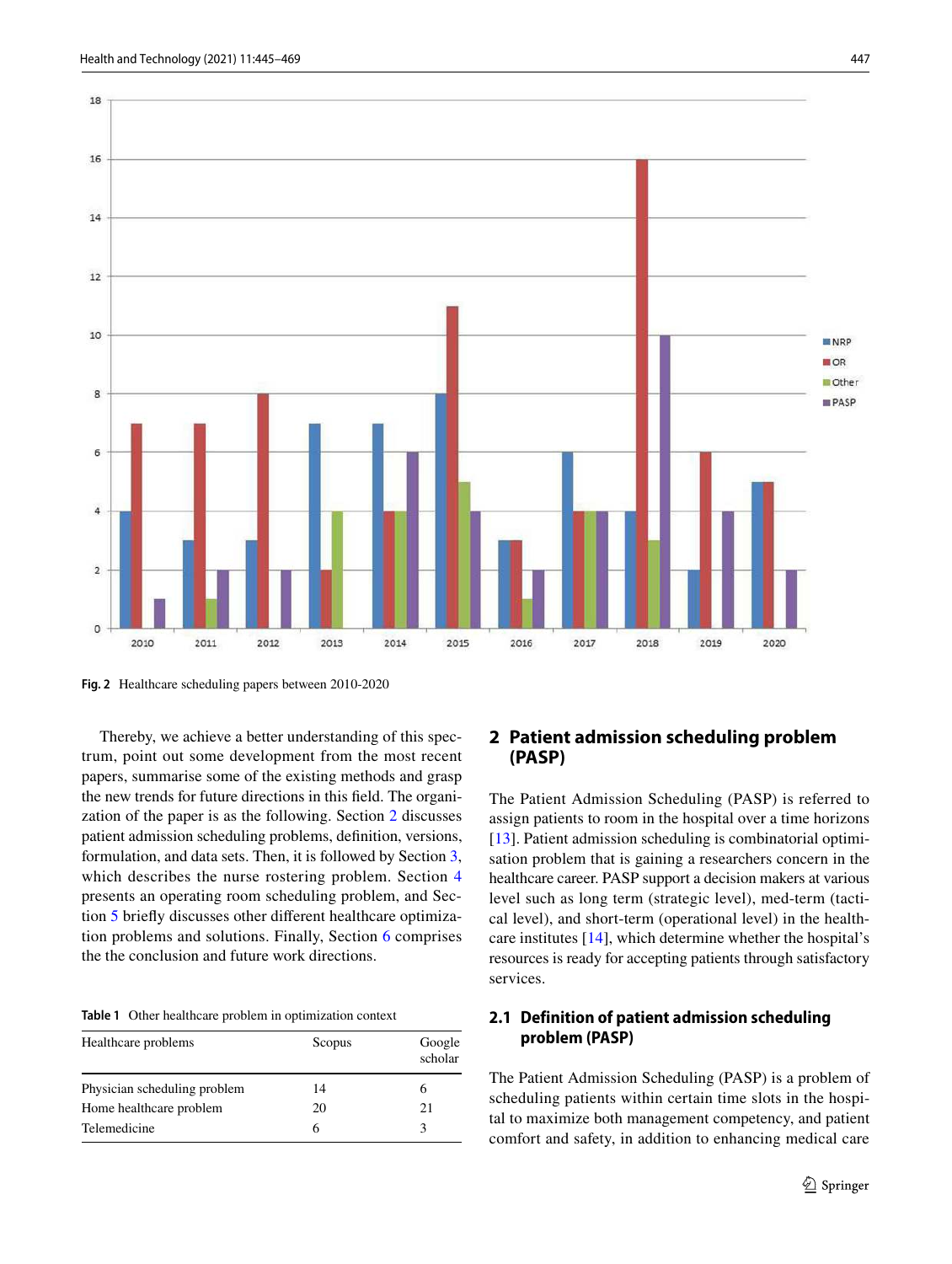

<span id="page-2-0"></span>**Fig. 2** Healthcare scheduling papers between 2010-2020

Thereby, we achieve a better understanding of this spectrum, point out some development from the most recent papers, summarise some of the existing methods and grasp the new trends for future directions in this field. The organization of the paper is as the following. Section [2](#page-2-2) discusses patient admission scheduling problems, definition, versions, formulation, and data sets. Then, it is followed by Section [3,](#page-11-0) which describes the nurse rostering problem. Section [4](#page-13-0) presents an operating room scheduling problem, and Section [5](#page-19-0) briefly discusses other different healthcare optimization problems and solutions. Finally, Section [6](#page-20-0) comprises the the conclusion and future work directions.

<span id="page-2-1"></span>**Table 1** Other healthcare problem in optimization context

| Healthcare problems          | Scopus | Google<br>scholar |
|------------------------------|--------|-------------------|
| Physician scheduling problem | 14     |                   |
| Home healthcare problem      | 20     | 21                |
| Telemedicine                 | 6      | 3                 |

### <span id="page-2-2"></span>**2 Patient admission scheduling problem (PASP)**

The Patient Admission Scheduling (PASP) is referred to assign patients to room in the hospital over a time horizons [[13\]](#page-21-12). Patient admission scheduling is combinatorial optimisation problem that is gaining a researchers concern in the healthcare career. PASP support a decision makers at various level such as long term (strategic level), med-term (tactical level), and short-term (operational level) in the healthcare institutes [[14\]](#page-21-13), which determine whether the hospital's resources is ready for accepting patients through satisfactory services.

### **2.1 Definition of patient admission scheduling problem (PASP)**

The Patient Admission Scheduling (PASP) is a problem of scheduling patients within certain time slots in the hospital to maximize both management competency, and patient comfort and safety, in addition to enhancing medical care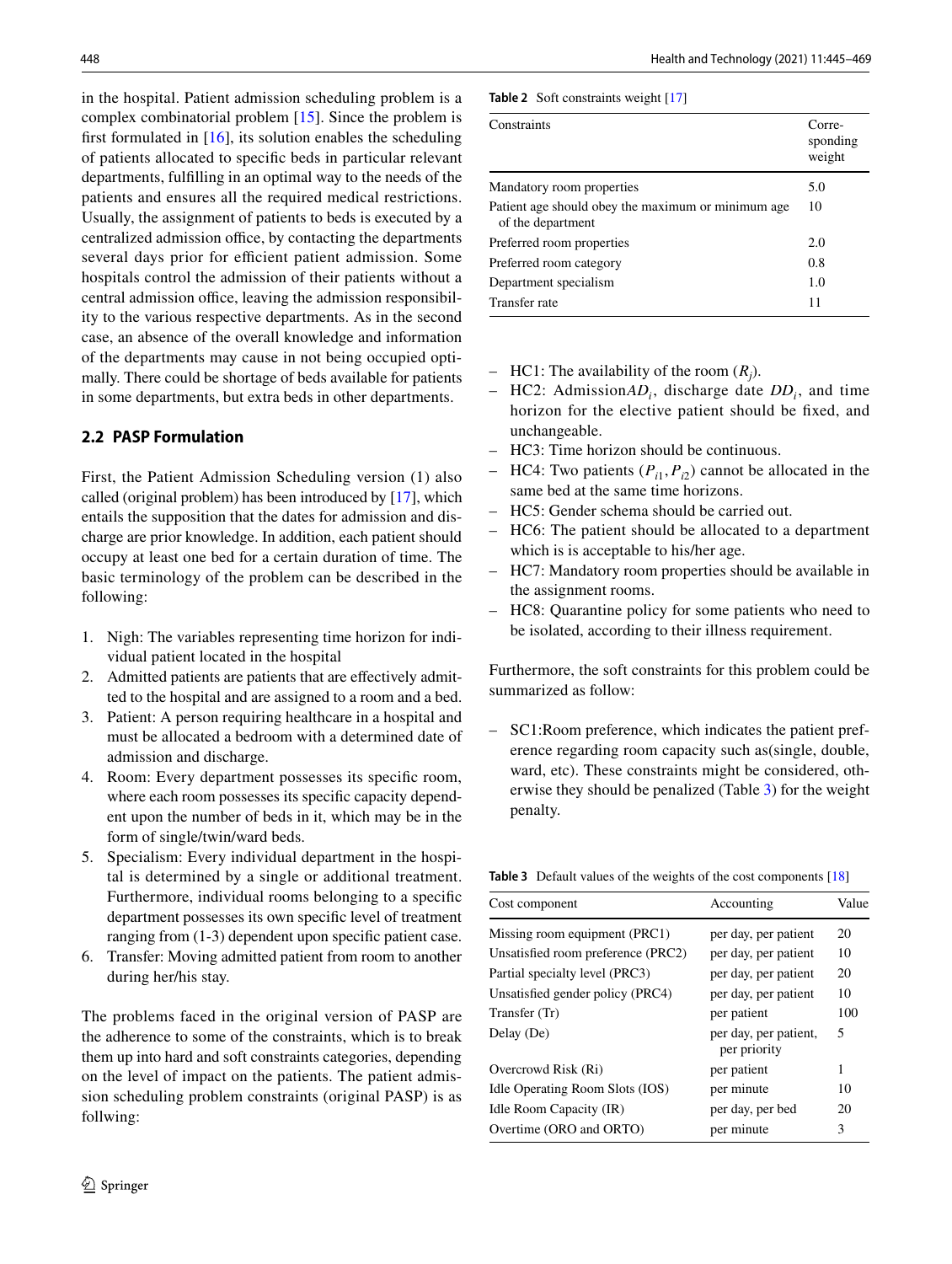in the hospital. Patient admission scheduling problem is a complex combinatorial problem [[15](#page-21-14)]. Since the problem is first formulated in  $[16]$  $[16]$ , its solution enables the scheduling of patients allocated to specific beds in particular relevant departments, fulfilling in an optimal way to the needs of the patients and ensures all the required medical restrictions. Usually, the assignment of patients to beds is executed by a centralized admission office, by contacting the departments several days prior for efficient patient admission. Some hospitals control the admission of their patients without a central admission office, leaving the admission responsibility to the various respective departments. As in the second case, an absence of the overall knowledge and information of the departments may cause in not being occupied optimally. There could be shortage of beds available for patients in some departments, but extra beds in other departments.

### **2.2 PASP Formulation**

First, the Patient Admission Scheduling version (1) also called (original problem) has been introduced by [\[17](#page-21-16)], which entails the supposition that the dates for admission and discharge are prior knowledge. In addition, each patient should occupy at least one bed for a certain duration of time. The basic terminology of the problem can be described in the following:

- 1. Nigh: The variables representing time horizon for individual patient located in the hospital
- 2. Admitted patients are patients that are effectively admitted to the hospital and are assigned to a room and a bed.
- 3. Patient: A person requiring healthcare in a hospital and must be allocated a bedroom with a determined date of admission and discharge.
- 4. Room: Every department possesses its specific room, where each room possesses its specific capacity dependent upon the number of beds in it, which may be in the form of single/twin/ward beds.
- 5. Specialism: Every individual department in the hospital is determined by a single or additional treatment. Furthermore, individual rooms belonging to a specific department possesses its own specific level of treatment ranging from (1-3) dependent upon specific patient case.
- 6. Transfer: Moving admitted patient from room to another during her/his stay.

The problems faced in the original version of PASP are the adherence to some of the constraints, which is to break them up into hard and soft constraints categories, depending on the level of impact on the patients. The patient admission scheduling problem constraints (original PASP) is as follwing:

<span id="page-3-1"></span>**Table 2** Soft constraints weight [[17](#page-21-16)]

| Constraints                                                             | Corre-<br>sponding<br>weight |
|-------------------------------------------------------------------------|------------------------------|
| Mandatory room properties                                               | 5.0                          |
| Patient age should obey the maximum or minimum age<br>of the department | 10                           |
| Preferred room properties                                               | 2.0                          |
| Preferred room category                                                 | 0.8                          |
| Department specialism                                                   | 1.0                          |
| Transfer rate                                                           | 11                           |

- $-$  HC1: The availability of the room  $(R_j)$ .
- $-$  HC2: Admission $AD_i$ , discharge date  $DD_i$ , and time horizon for the elective patient should be fixed, and unchangeable.
- HC3: Time horizon should be continuous.
- HC4: Two patients  $(P_{i1}, P_{i2})$  cannot be allocated in the same bed at the same time horizons.
- HC5: Gender schema should be carried out.
- HC6: The patient should be allocated to a department which is is acceptable to his/her age.
- HC7: Mandatory room properties should be available in the assignment rooms.
- HC8: Quarantine policy for some patients who need to be isolated, according to their illness requirement.

Furthermore, the soft constraints for this problem could be summarized as follow:

– SC1:Room preference, which indicates the patient preference regarding room capacity such as(single, double, ward, etc). These constraints might be considered, otherwise they should be penalized (Table [3\)](#page-3-0) for the weight penalty.

<span id="page-3-0"></span>**Table 3** Default values of the weights of the cost components [\[18\]](#page-21-17)

| Cost component                     | Accounting                            | Value |
|------------------------------------|---------------------------------------|-------|
| Missing room equipment (PRC1)      | per day, per patient                  | 20    |
| Unsatisfied room preference (PRC2) | per day, per patient                  | 10    |
| Partial specialty level (PRC3)     | per day, per patient                  | 20    |
| Unsatisfied gender policy (PRC4)   | per day, per patient                  | 10    |
| Transfer (Tr)                      | per patient                           | 100   |
| Delay (De)                         | per day, per patient,<br>per priority | 5     |
| Overcrowd Risk (Ri)                | per patient                           | 1     |
| Idle Operating Room Slots (IOS)    | per minute                            | 10    |
| Idle Room Capacity (IR)            | per day, per bed                      | 20    |
| Overtime (ORO and ORTO)            | per minute                            | 3     |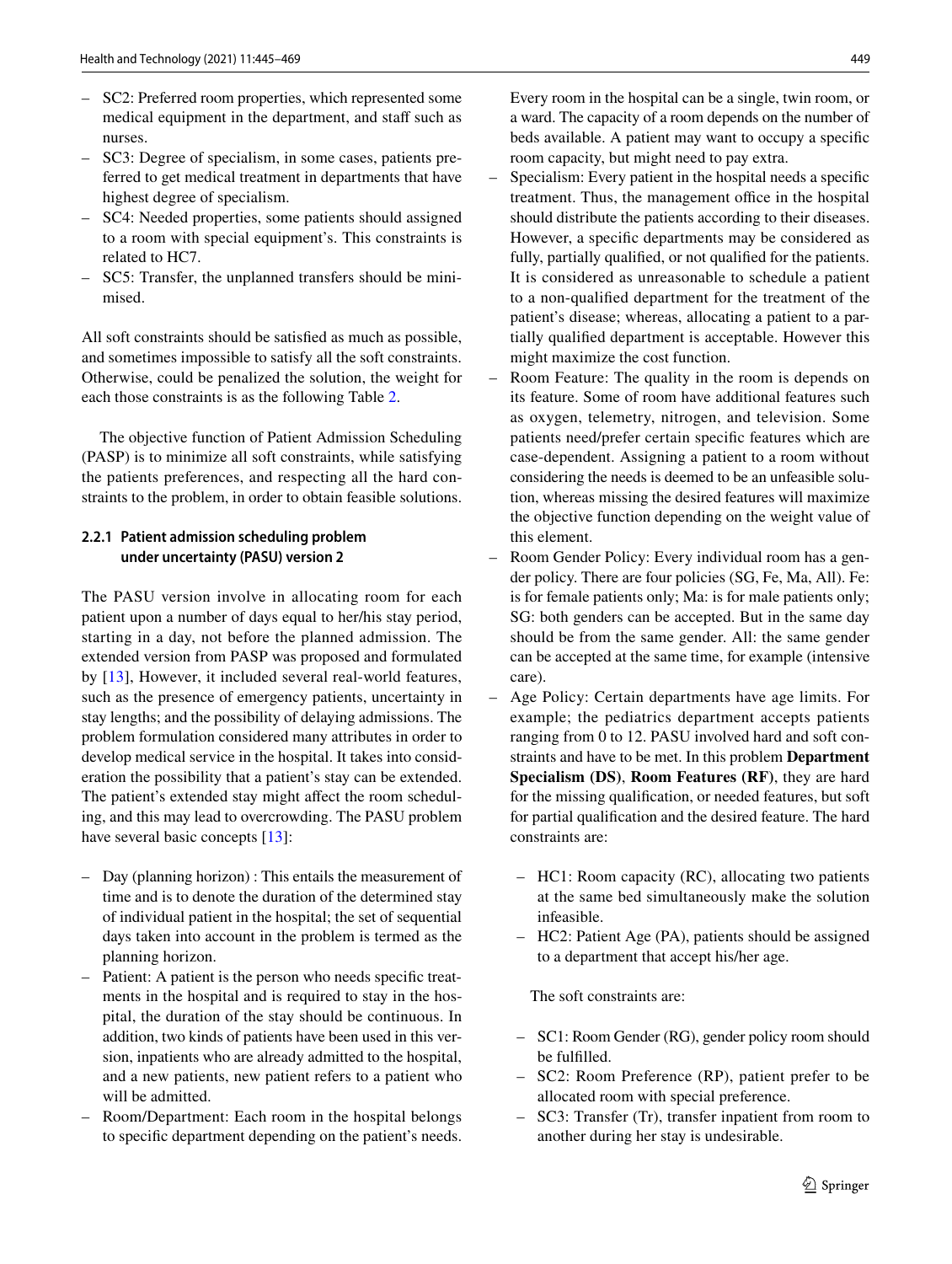- SC2: Preferred room properties, which represented some medical equipment in the department, and staff such as nurses.
- SC3: Degree of specialism, in some cases, patients preferred to get medical treatment in departments that have highest degree of specialism.
- SC4: Needed properties, some patients should assigned to a room with special equipment's. This constraints is related to HC7.
- SC5: Transfer, the unplanned transfers should be minimised.

All soft constraints should be satisfied as much as possible, and sometimes impossible to satisfy all the soft constraints. Otherwise, could be penalized the solution, the weight for each those constraints is as the following Table [2](#page-3-1).

The objective function of Patient Admission Scheduling (PASP) is to minimize all soft constraints, while satisfying the patients preferences, and respecting all the hard constraints to the problem, in order to obtain feasible solutions.

### **2.2.1 Patient admission scheduling problem under uncertainty (PASU) version 2**

The PASU version involve in allocating room for each patient upon a number of days equal to her/his stay period, starting in a day, not before the planned admission. The extended version from PASP was proposed and formulated by [[13\]](#page-21-12), However, it included several real-world features, such as the presence of emergency patients, uncertainty in stay lengths; and the possibility of delaying admissions. The problem formulation considered many attributes in order to develop medical service in the hospital. It takes into consideration the possibility that a patient's stay can be extended. The patient's extended stay might affect the room scheduling, and this may lead to overcrowding. The PASU problem have several basic concepts [[13](#page-21-12)]:

- Day (planning horizon) : This entails the measurement of time and is to denote the duration of the determined stay of individual patient in the hospital; the set of sequential days taken into account in the problem is termed as the planning horizon.
- Patient: A patient is the person who needs specific treatments in the hospital and is required to stay in the hospital, the duration of the stay should be continuous. In addition, two kinds of patients have been used in this version, inpatients who are already admitted to the hospital, and a new patients, new patient refers to a patient who will be admitted.
- Room/Department: Each room in the hospital belongs to specific department depending on the patient's needs.

Every room in the hospital can be a single, twin room, or a ward. The capacity of a room depends on the number of beds available. A patient may want to occupy a specific room capacity, but might need to pay extra.

- Specialism: Every patient in the hospital needs a specific treatment. Thus, the management office in the hospital should distribute the patients according to their diseases. However, a specific departments may be considered as fully, partially qualified, or not qualified for the patients. It is considered as unreasonable to schedule a patient to a non-qualified department for the treatment of the patient's disease; whereas, allocating a patient to a partially qualified department is acceptable. However this might maximize the cost function.
- Room Feature: The quality in the room is depends on its feature. Some of room have additional features such as oxygen, telemetry, nitrogen, and television. Some patients need/prefer certain specific features which are case-dependent. Assigning a patient to a room without considering the needs is deemed to be an unfeasible solution, whereas missing the desired features will maximize the objective function depending on the weight value of this element.
- Room Gender Policy: Every individual room has a gender policy. There are four policies (SG, Fe, Ma, All). Fe: is for female patients only; Ma: is for male patients only; SG: both genders can be accepted. But in the same day should be from the same gender. All: the same gender can be accepted at the same time, for example (intensive care).
- Age Policy: Certain departments have age limits. For example; the pediatrics department accepts patients ranging from 0 to 12. PASU involved hard and soft constraints and have to be met. In this problem **Department Specialism (DS)**, **Room Features (RF)**, they are hard for the missing qualification, or needed features, but soft for partial qualification and the desired feature. The hard constraints are:
	- HC1: Room capacity (RC), allocating two patients at the same bed simultaneously make the solution infeasible.
	- HC2: Patient Age (PA), patients should be assigned to a department that accept his/her age.

The soft constraints are:

- SC1: Room Gender (RG), gender policy room should be fulfilled.
- SC2: Room Preference (RP), patient prefer to be allocated room with special preference.
- SC3: Transfer (Tr), transfer inpatient from room to another during her stay is undesirable.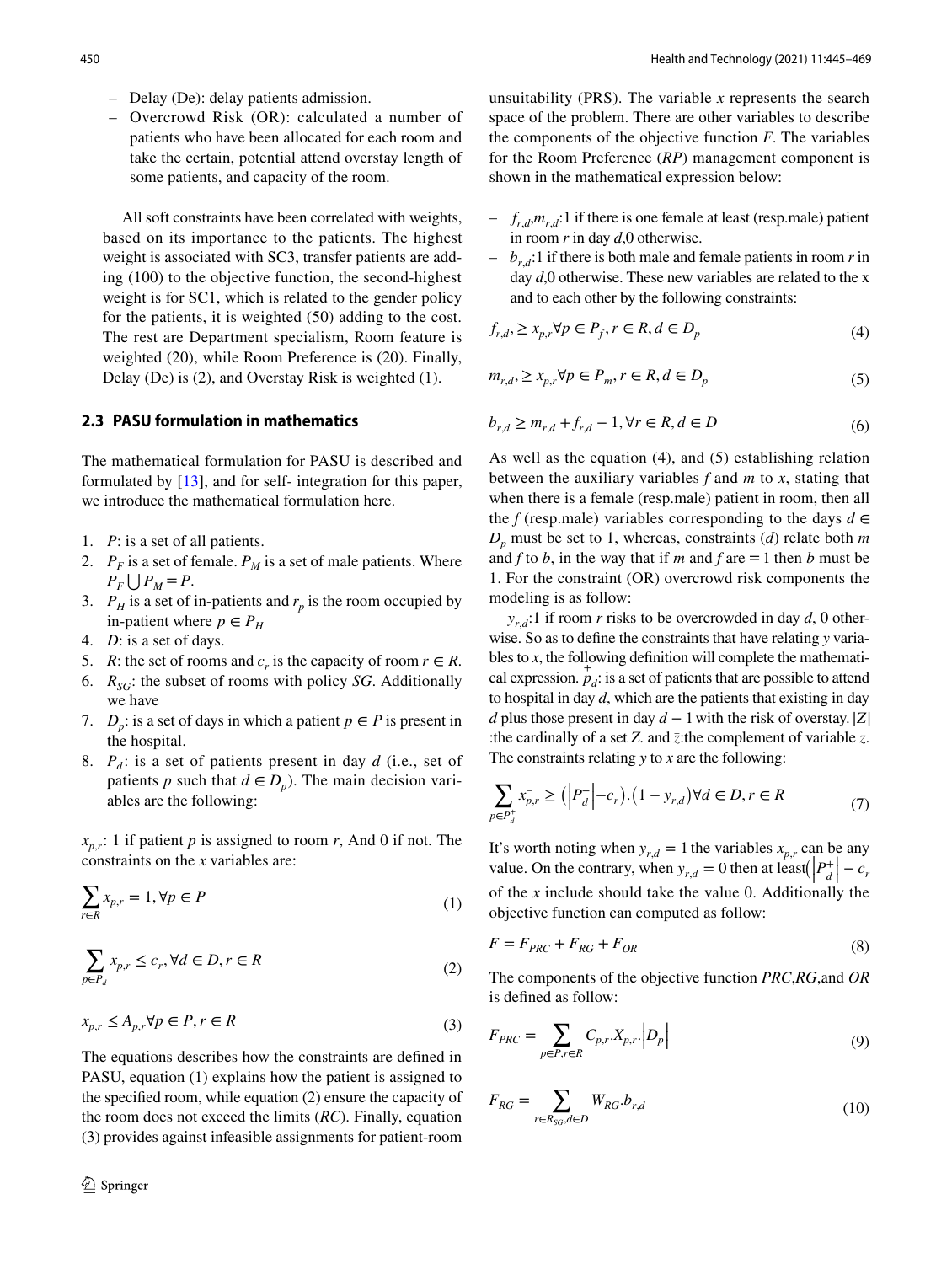- Delay (De): delay patients admission.
- Overcrowd Risk (OR): calculated a number of patients who have been allocated for each room and take the certain, potential attend overstay length of some patients, and capacity of the room.

 All soft constraints have been correlated with weights, based on its importance to the patients. The highest weight is associated with SC3, transfer patients are adding (100) to the objective function, the second-highest weight is for SC1, which is related to the gender policy for the patients, it is weighted (50) adding to the cost. The rest are Department specialism, Room feature is weighted (20), while Room Preference is (20). Finally, Delay (De) is (2), and Overstay Risk is weighted (1).

### **2.3 PASU formulation in mathematics**

The mathematical formulation for PASU is described and formulated by [\[13](#page-21-12)], and for self- integration for this paper, we introduce the mathematical formulation here.

- 1. *P*: is a set of all patients.
- 2.  $P_F$  is a set of female.  $P_M$  is a set of male patients. Where  $P_F \bigcup P_M = P$ .
- 3.  $P_H$  is a set of in-patients and  $r_p$  is the room occupied by in-patient where  $p \in P_H$
- 4. *D*: is a set of days.
- 5. *R*: the set of rooms and  $c_r$  is the capacity of room  $r \in R$ .
- 6. *RSG* : the subset of rooms with policy *SG*. Additionally we have
- 7. *D<sub>p</sub>*: is a set of days in which a patient  $p \in P$  is present in the hospital.
- 8.  $P_d$ : is a set of patients present in day  $d$  (i.e., set of patients *p* such that  $d \in D_p$ ). The main decision variables are the following:

*xp*,*r* : 1 if patient *p* is assigned to room *r*, And 0 if not. The constraints on the *x* variables are:

$$
\sum_{r \in R} x_{p,r} = 1, \forall p \in P
$$
\n<sup>(1)</sup>

$$
\sum_{p \in P_d} x_{p,r} \le c_r, \forall d \in D, r \in R
$$
\n<sup>(2)</sup>

$$
x_{p,r} \le A_{p,r} \forall p \in P, r \in R
$$
\n<sup>(3)</sup>

The equations describes how the constraints are defined in PASU, equation (1) explains how the patient is assigned to the specified room, while equation (2) ensure the capacity of the room does not exceed the limits (*RC*). Finally, equation (3) provides against infeasible assignments for patient-room

unsuitability (PRS). The variable *x* represents the search space of the problem. There are other variables to describe the components of the objective function *F*. The variables for the Room Preference (*RP*) management component is shown in the mathematical expression below:

- $f_{r,d}, m_{r,d}$ :1 if there is one female at least (resp.male) patient in room *r* in day *d*,0 otherwise.
- $b_{r,d}$ :1 if there is both male and female patients in room *r* in day *d*,0 otherwise. These new variables are related to the x and to each other by the following constraints:

$$
f_{r,d}, \ge x_{p,r} \forall p \in P_f, r \in R, d \in D_p \tag{4}
$$

$$
m_{r,d}, \ge x_{p,r} \forall p \in P_m, r \in R, d \in D_p \tag{5}
$$

$$
b_{r,d} \ge m_{r,d} + f_{r,d} - 1, \forall r \in R, d \in D
$$
 (6)

As well as the equation (4), and (5) establishing relation between the auxiliary variables *f* and *m* to *x*, stating that when there is a female (resp.male) patient in room, then all the *f* (resp.male) variables corresponding to the days  $d \in$ *Dp* must be set to 1, whereas, constraints (*d*) relate both *m* and *f* to *b*, in the way that if *m* and *f* are  $= 1$  then *b* must be 1. For the constraint (OR) overcrowd risk components the modeling is as follow:

 $y_{r,d}$ :1 if room *r* risks to be overcrowded in day *d*, 0 otherwise. So as to define the constraints that have relating *y* variables to *x*, the following definition will complete the mathematical expression.  $p_d$ : is a set of patients that are possible to attend to hospital in day *d*, which are the patients that existing in day *d* plus those present in day *d* − 1 with the risk of overstay. |*Z*| :the cardinally of a set *Z*. and *z̄*:the complement of variable *z*. The constraints relating *y* to *x* are the following:

$$
\sum_{p \in P_d^+} x_{p,r}^- \ge \left( \left| P_d^+ \right| - c_r \right) \cdot \left( 1 - y_{r,d} \right) \forall d \in D, r \in R
$$
\n<sup>(7)</sup>

It's worth noting when  $y_{r,d} = 1$  the variables  $x_{p,r}$  can be any value. On the contrary, when  $y_{r,d} = 0$  then at  $\left| P_d^+ \right| - c$ , of the *x* include should take the value 0. Additionally the objective function can computed as follow:

$$
F = F_{PRC} + F_{RG} + F_{OR}
$$
\n<sup>(8)</sup>

The components of the objective function *PRC*,*RG*,and *OR* is defined as follow:

$$
F_{PRC} = \sum_{p \in P, r \in R} C_{p,r} X_{p,r} \cdot \left| D_p \right| \tag{9}
$$

$$
F_{RG} = \sum_{r \in R_{SG}, d \in D} W_{RG}.b_{r,d} \tag{10}
$$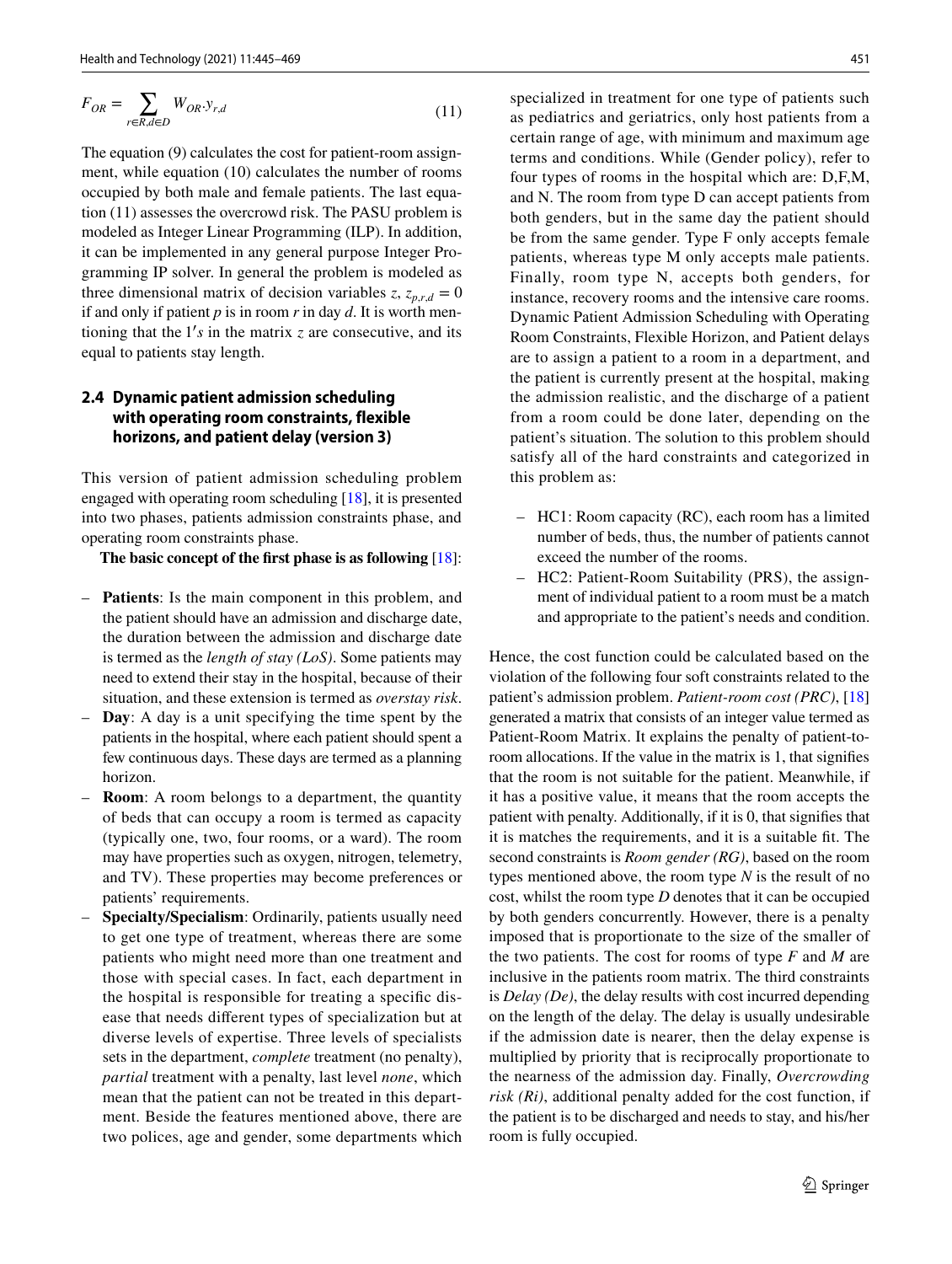$$
F_{OR} = \sum_{r \in R, d \in D} W_{OR} \cdot y_{r,d} \tag{11}
$$

The equation (9) calculates the cost for patient-room assignment, while equation (10) calculates the number of rooms occupied by both male and female patients. The last equation (11) assesses the overcrowd risk. The PASU problem is modeled as Integer Linear Programming (ILP). In addition, it can be implemented in any general purpose Integer Programming IP solver. In general the problem is modeled as three dimensional matrix of decision variables  $z$ ,  $z_{p,r,d} = 0$ if and only if patient *p* is in room *r* in day *d*. It is worth mentioning that the  $1's$  in the matrix  $z$  are consecutive, and its equal to patients stay length.

### **2.4 Dynamic patient admission scheduling with operating room constraints, flexible horizons, and patient delay (version 3)**

This version of patient admission scheduling problem engaged with operating room scheduling [[18\]](#page-21-17), it is presented into two phases, patients admission constraints phase, and operating room constraints phase.

**The basic concept of the first phase is as following** [\[18](#page-21-17)]:

- **Patients**: Is the main component in this problem, and the patient should have an admission and discharge date, the duration between the admission and discharge date is termed as the *length of stay (LoS)*. Some patients may need to extend their stay in the hospital, because of their situation, and these extension is termed as *overstay risk*.
- **Day**: A day is a unit specifying the time spent by the patients in the hospital, where each patient should spent a few continuous days. These days are termed as a planning horizon.
- **Room**: A room belongs to a department, the quantity of beds that can occupy a room is termed as capacity (typically one, two, four rooms, or a ward). The room may have properties such as oxygen, nitrogen, telemetry, and TV). These properties may become preferences or patients' requirements.
- **Specialty/Specialism**: Ordinarily, patients usually need to get one type of treatment, whereas there are some patients who might need more than one treatment and those with special cases. In fact, each department in the hospital is responsible for treating a specific disease that needs different types of specialization but at diverse levels of expertise. Three levels of specialists sets in the department, *complete* treatment (no penalty), *partial* treatment with a penalty, last level *none*, which mean that the patient can not be treated in this department. Beside the features mentioned above, there are two polices, age and gender, some departments which

specialized in treatment for one type of patients such as pediatrics and geriatrics, only host patients from a certain range of age, with minimum and maximum age terms and conditions. While (Gender policy), refer to four types of rooms in the hospital which are: D,F,M, and N. The room from type D can accept patients from both genders, but in the same day the patient should be from the same gender. Type F only accepts female patients, whereas type M only accepts male patients. Finally, room type N, accepts both genders, for instance, recovery rooms and the intensive care rooms. Dynamic Patient Admission Scheduling with Operating Room Constraints, Flexible Horizon, and Patient delays are to assign a patient to a room in a department, and the patient is currently present at the hospital, making the admission realistic, and the discharge of a patient from a room could be done later, depending on the patient's situation. The solution to this problem should satisfy all of the hard constraints and categorized in this problem as:

- HC1: Room capacity (RC), each room has a limited number of beds, thus, the number of patients cannot exceed the number of the rooms.
- HC2: Patient-Room Suitability (PRS), the assignment of individual patient to a room must be a match and appropriate to the patient's needs and condition.

Hence, the cost function could be calculated based on the violation of the following four soft constraints related to the patient's admission problem. *Patient-room cost (PRC)*, [\[18\]](#page-21-17) generated a matrix that consists of an integer value termed as Patient-Room Matrix. It explains the penalty of patient-toroom allocations. If the value in the matrix is 1, that signifies that the room is not suitable for the patient. Meanwhile, if it has a positive value, it means that the room accepts the patient with penalty. Additionally, if it is 0, that signifies that it is matches the requirements, and it is a suitable fit. The second constraints is *Room gender (RG)*, based on the room types mentioned above, the room type *N* is the result of no cost, whilst the room type *D* denotes that it can be occupied by both genders concurrently. However, there is a penalty imposed that is proportionate to the size of the smaller of the two patients. The cost for rooms of type *F* and *M* are inclusive in the patients room matrix. The third constraints is *Delay (De)*, the delay results with cost incurred depending on the length of the delay. The delay is usually undesirable if the admission date is nearer, then the delay expense is multiplied by priority that is reciprocally proportionate to the nearness of the admission day. Finally, *Overcrowding risk (Ri)*, additional penalty added for the cost function, if the patient is to be discharged and needs to stay, and his/her room is fully occupied.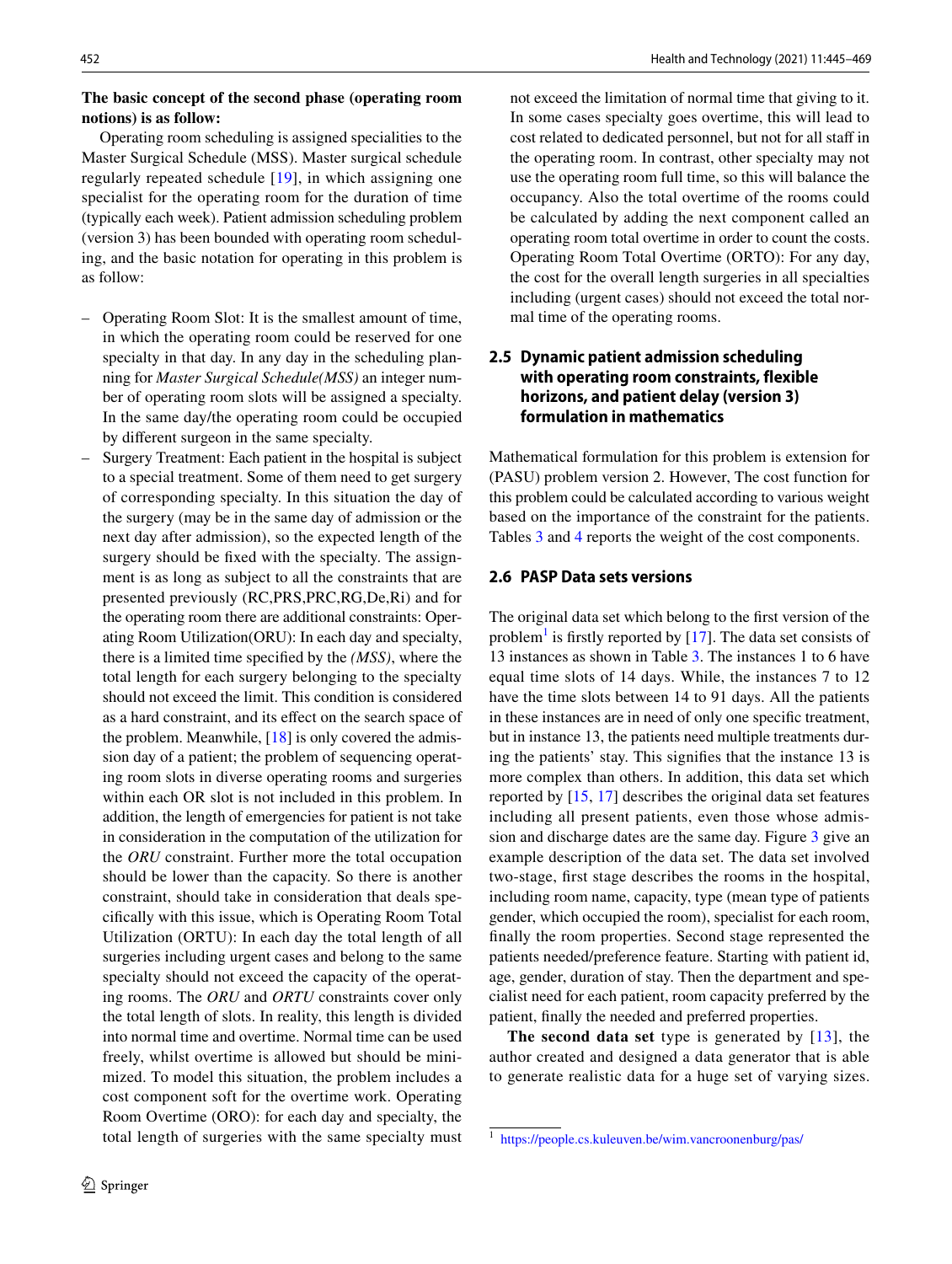### **The basic concept of the second phase (operating room notions) is as follow:**

Operating room scheduling is assigned specialities to the Master Surgical Schedule (MSS). Master surgical schedule regularly repeated schedule [[19](#page-21-18)], in which assigning one specialist for the operating room for the duration of time (typically each week). Patient admission scheduling problem (version 3) has been bounded with operating room scheduling, and the basic notation for operating in this problem is as follow:

- Operating Room Slot: It is the smallest amount of time, in which the operating room could be reserved for one specialty in that day. In any day in the scheduling planning for *Master Surgical Schedule(MSS)* an integer number of operating room slots will be assigned a specialty. In the same day/the operating room could be occupied by different surgeon in the same specialty.
- Surgery Treatment: Each patient in the hospital is subject to a special treatment. Some of them need to get surgery of corresponding specialty. In this situation the day of the surgery (may be in the same day of admission or the next day after admission), so the expected length of the surgery should be fixed with the specialty. The assignment is as long as subject to all the constraints that are presented previously (RC,PRS,PRC,RG,De,Ri) and for the operating room there are additional constraints: Operating Room Utilization(ORU): In each day and specialty, there is a limited time specified by the *(MSS)*, where the total length for each surgery belonging to the specialty should not exceed the limit. This condition is considered as a hard constraint, and its effect on the search space of the problem. Meanwhile, [[18\]](#page-21-17) is only covered the admission day of a patient; the problem of sequencing operating room slots in diverse operating rooms and surgeries within each OR slot is not included in this problem. In addition, the length of emergencies for patient is not take in consideration in the computation of the utilization for the *ORU* constraint. Further more the total occupation should be lower than the capacity. So there is another constraint, should take in consideration that deals specifically with this issue, which is Operating Room Total Utilization (ORTU): In each day the total length of all surgeries including urgent cases and belong to the same specialty should not exceed the capacity of the operating rooms. The *ORU* and *ORTU* constraints cover only the total length of slots. In reality, this length is divided into normal time and overtime. Normal time can be used freely, whilst overtime is allowed but should be minimized. To model this situation, the problem includes a cost component soft for the overtime work. Operating Room Overtime (ORO): for each day and specialty, the total length of surgeries with the same specialty must

not exceed the limitation of normal time that giving to it. In some cases specialty goes overtime, this will lead to cost related to dedicated personnel, but not for all staff in the operating room. In contrast, other specialty may not use the operating room full time, so this will balance the occupancy. Also the total overtime of the rooms could be calculated by adding the next component called an operating room total overtime in order to count the costs. Operating Room Total Overtime (ORTO): For any day, the cost for the overall length surgeries in all specialties including (urgent cases) should not exceed the total normal time of the operating rooms.

### **2.5 Dynamic patient admission scheduling with operating room constraints, flexible horizons, and patient delay (version 3) formulation in mathematics**

Mathematical formulation for this problem is extension for (PASU) problem version 2. However, The cost function for this problem could be calculated according to various weight based on the importance of the constraint for the patients. Tables [3](#page-3-0) and [4](#page-8-0) reports the weight of the cost components.

#### **2.6 PASP Data sets versions**

The original data set which belong to the first version of the problem<sup>[1](#page-7-0)</sup> is firstly reported by  $[17]$  $[17]$ . The data set consists of 13 instances as shown in Table [3.](#page-3-0) The instances 1 to 6 have equal time slots of 14 days. While, the instances 7 to 12 have the time slots between 14 to 91 days. All the patients in these instances are in need of only one specific treatment, but in instance 13, the patients need multiple treatments during the patients' stay. This signifies that the instance 13 is more complex than others. In addition, this data set which reported by [\[15,](#page-21-14) [17\]](#page-21-16) describes the original data set features including all present patients, even those whose admission and discharge dates are the same day. Figure [3](#page-8-1) give an example description of the data set. The data set involved two-stage, first stage describes the rooms in the hospital, including room name, capacity, type (mean type of patients gender, which occupied the room), specialist for each room, finally the room properties. Second stage represented the patients needed/preference feature. Starting with patient id, age, gender, duration of stay. Then the department and specialist need for each patient, room capacity preferred by the patient, finally the needed and preferred properties.

**The second data set** type is generated by [\[13](#page-21-12)], the author created and designed a data generator that is able to generate realistic data for a huge set of varying sizes.

<span id="page-7-0"></span><sup>&</sup>lt;sup>1</sup> https://people.cs.kuleuven.be/wim.vancroonenburg/pas/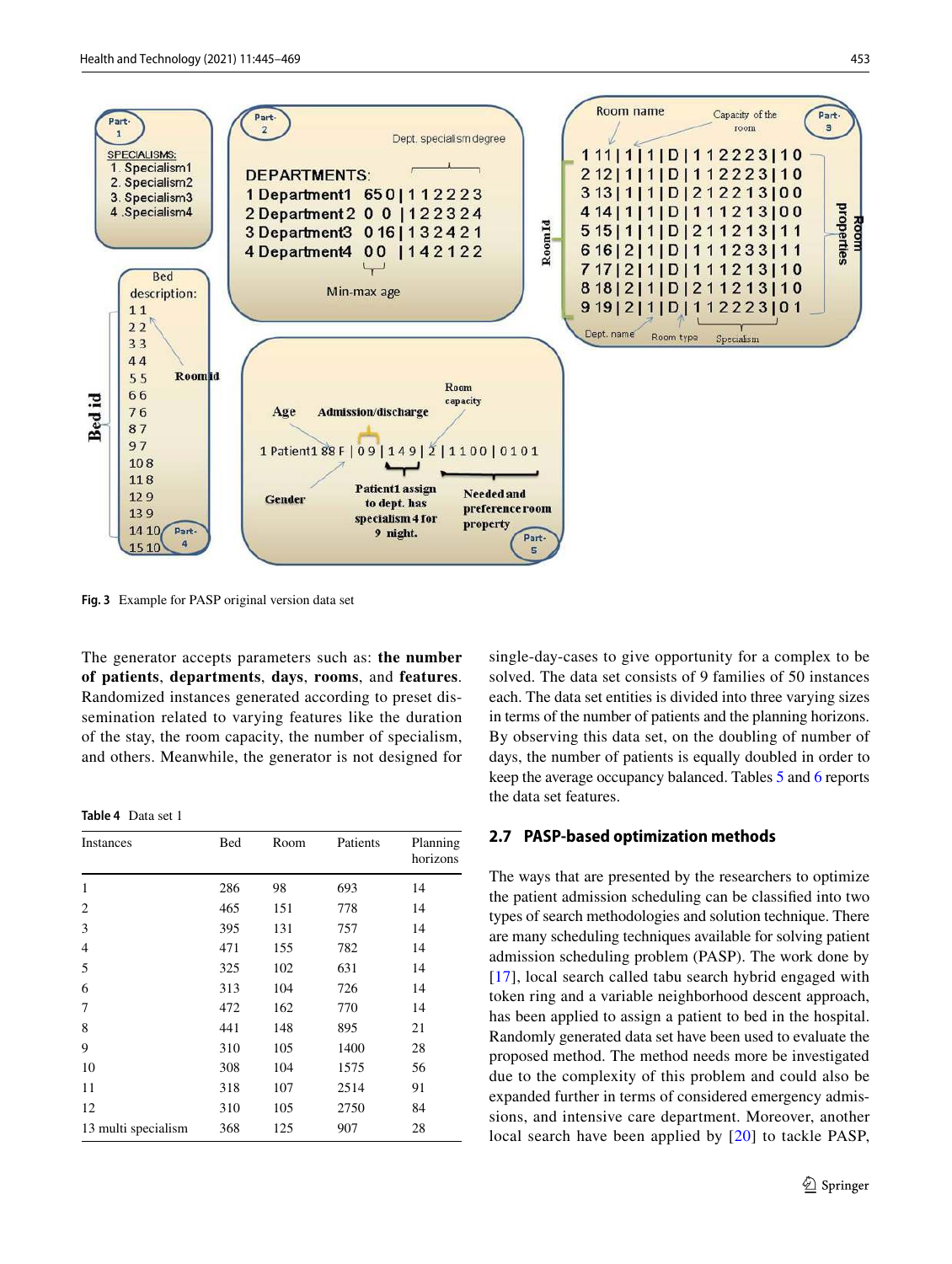

<span id="page-8-1"></span>**Fig. 3** Example for PASP original version data set

The generator accepts parameters such as: **the number of patients**, **departments**, **days**, **rooms**, and **features**. Randomized instances generated according to preset dissemination related to varying features like the duration of the stay, the room capacity, the number of specialism, and others. Meanwhile, the generator is not designed for

<span id="page-8-0"></span>**Table 4** Data set 1

| Instances           | Bed | Room | Patients | Planning<br>horizons |
|---------------------|-----|------|----------|----------------------|
| 1                   | 286 | 98   | 693      | 14                   |
| 2                   | 465 | 151  | 778      | 14                   |
| 3                   | 395 | 131  | 757      | 14                   |
| 4                   | 471 | 155  | 782      | 14                   |
| 5                   | 325 | 102  | 631      | 14                   |
| 6                   | 313 | 104  | 726      | 14                   |
| 7                   | 472 | 162  | 770      | 14                   |
| 8                   | 441 | 148  | 895      | 21                   |
| 9                   | 310 | 105  | 1400     | 28                   |
| 10                  | 308 | 104  | 1575     | 56                   |
| 11                  | 318 | 107  | 2514     | 91                   |
| 12                  | 310 | 105  | 2750     | 84                   |
| 13 multi specialism | 368 | 125  | 907      | 28                   |

single-day-cases to give opportunity for a complex to be solved. The data set consists of 9 families of 50 instances each. The data set entities is divided into three varying sizes in terms of the number of patients and the planning horizons. By observing this data set, on the doubling of number of days, the number of patients is equally doubled in order to keep the average occupancy balanced. Tables [5](#page-9-0) and [6](#page-9-1) reports the data set features.

#### **2.7 PASP‑based optimization methods**

The ways that are presented by the researchers to optimize the patient admission scheduling can be classified into two types of search methodologies and solution technique. There are many scheduling techniques available for solving patient admission scheduling problem (PASP). The work done by [[17\]](#page-21-16), local search called tabu search hybrid engaged with token ring and a variable neighborhood descent approach, has been applied to assign a patient to bed in the hospital. Randomly generated data set have been used to evaluate the proposed method. The method needs more be investigated due to the complexity of this problem and could also be expanded further in terms of considered emergency admissions, and intensive care department. Moreover, another local search have been applied by [[20](#page-21-19)] to tackle PASP,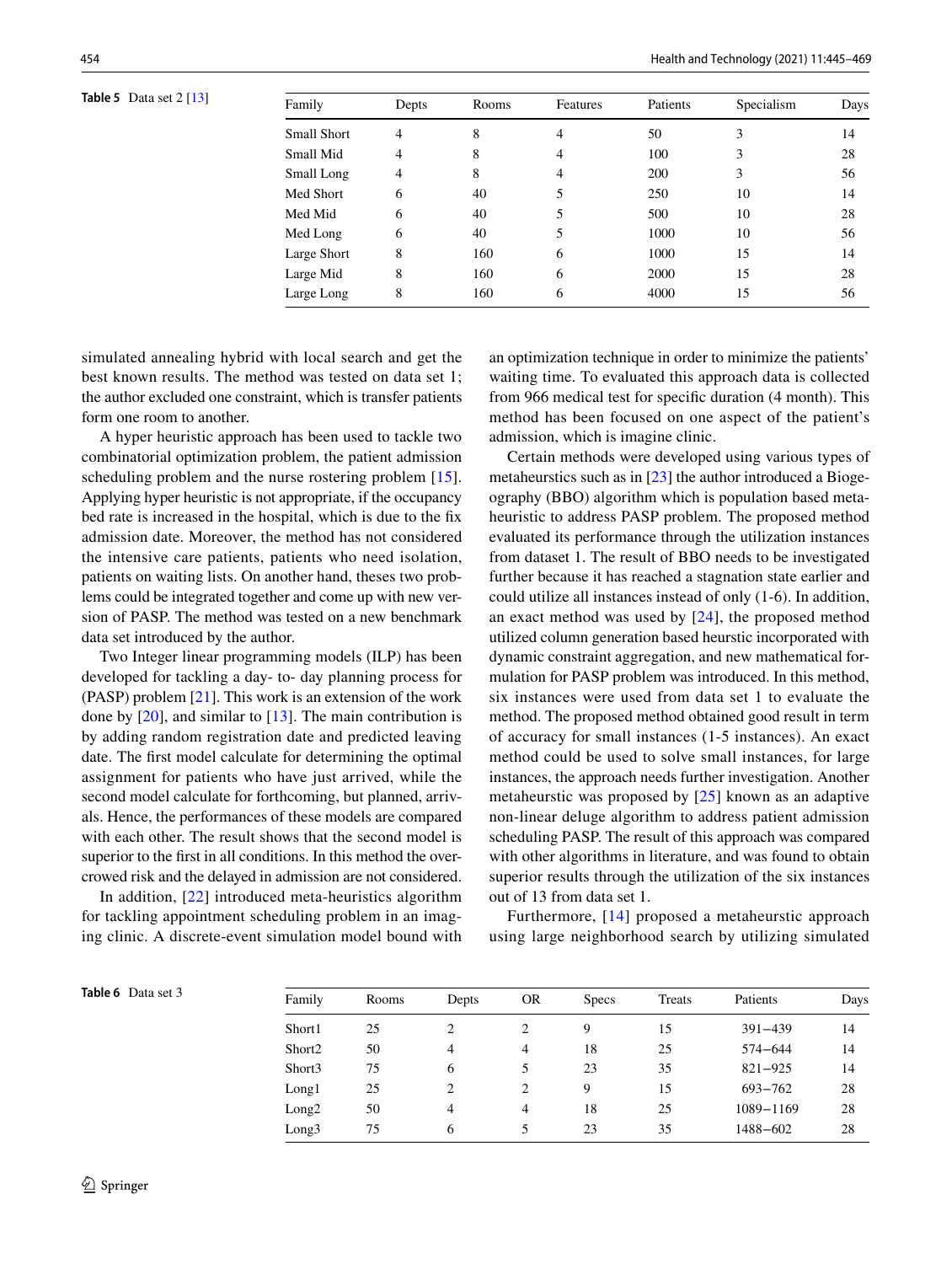<span id="page-9-0"></span>**Table 5** Data set 2 [\[13\]](#page-21-12)

| Family      | Depts | Rooms | Features | Patients | Specialism | Days |
|-------------|-------|-------|----------|----------|------------|------|
| Small Short | 4     | 8     | 4        | 50       | 3          | 14   |
| Small Mid   | 4     | 8     | 4        | 100      | 3          | 28   |
| Small Long  | 4     | 8     | 4        | 200      | 3          | 56   |
| Med Short   | 6     | 40    | 5        | 250      | 10         | 14   |
| Med Mid     | 6     | 40    | 5        | 500      | 10         | 28   |
| Med Long    | 6     | 40    | 5        | 1000     | 10         | 56   |
| Large Short | 8     | 160   | 6        | 1000     | 15         | 14   |
| Large Mid   | 8     | 160   | 6        | 2000     | 15         | 28   |
| Large Long  | 8     | 160   | 6        | 4000     | 15         | 56   |
|             |       |       |          |          |            |      |

simulated annealing hybrid with local search and get the best known results. The method was tested on data set 1; the author excluded one constraint, which is transfer patients form one room to another.

A hyper heuristic approach has been used to tackle two combinatorial optimization problem, the patient admission scheduling problem and the nurse rostering problem [[15](#page-21-14)]. Applying hyper heuristic is not appropriate, if the occupancy bed rate is increased in the hospital, which is due to the fix admission date. Moreover, the method has not considered the intensive care patients, patients who need isolation, patients on waiting lists. On another hand, theses two problems could be integrated together and come up with new version of PASP. The method was tested on a new benchmark data set introduced by the author.

Two Integer linear programming models (ILP) has been developed for tackling a day- to- day planning process for (PASP) problem [\[21](#page-21-20)]. This work is an extension of the work done by [\[20](#page-21-19)], and similar to [\[13](#page-21-12)]. The main contribution is by adding random registration date and predicted leaving date. The first model calculate for determining the optimal assignment for patients who have just arrived, while the second model calculate for forthcoming, but planned, arrivals. Hence, the performances of these models are compared with each other. The result shows that the second model is superior to the first in all conditions. In this method the overcrowed risk and the delayed in admission are not considered.

In addition, [\[22\]](#page-21-21) introduced meta-heuristics algorithm for tackling appointment scheduling problem in an imaging clinic. A discrete-event simulation model bound with an optimization technique in order to minimize the patients' waiting time. To evaluated this approach data is collected from 966 medical test for specific duration (4 month). This method has been focused on one aspect of the patient's admission, which is imagine clinic.

Certain methods were developed using various types of metaheurstics such as in [[23\]](#page-21-22) the author introduced a Biogeography (BBO) algorithm which is population based metaheuristic to address PASP problem. The proposed method evaluated its performance through the utilization instances from dataset 1. The result of BBO needs to be investigated further because it has reached a stagnation state earlier and could utilize all instances instead of only (1-6). In addition, an exact method was used by [\[24\]](#page-21-23), the proposed method utilized column generation based heurstic incorporated with dynamic constraint aggregation, and new mathematical formulation for PASP problem was introduced. In this method, six instances were used from data set 1 to evaluate the method. The proposed method obtained good result in term of accuracy for small instances (1-5 instances). An exact method could be used to solve small instances, for large instances, the approach needs further investigation. Another metaheurstic was proposed by [[25](#page-21-24)] known as an adaptive non-linear deluge algorithm to address patient admission scheduling PASP. The result of this approach was compared with other algorithms in literature, and was found to obtain superior results through the utilization of the six instances out of 13 from data set 1.

Furthermore, [[14\]](#page-21-13) proposed a metaheurstic approach using large neighborhood search by utilizing simulated

<span id="page-9-1"></span>

| Table 6 Data set 3 | Family             | Rooms | Depts | <b>OR</b> | <b>Specs</b> | Treats | Patients    | Days |
|--------------------|--------------------|-------|-------|-----------|--------------|--------|-------------|------|
|                    | Short1             | 25    | 2     |           | 9            | 15     | $391 - 439$ | 14   |
|                    | Short <sub>2</sub> | 50    | 4     | 4         | 18           | 25     | 574-644     | 14   |
|                    | Short3             | 75    | 6     |           | 23           | 35     | $821 - 925$ | 14   |
|                    | Long1              | 25    | 2     |           | 9            | 15     | 693-762     | 28   |
|                    | Long2              | 50    | 4     | 4         | 18           | 25     | 1089-1169   | 28   |
|                    | Long3              | 75    | 6     |           | 23           | 35     | 1488-602    | 28   |
|                    |                    |       |       |           |              |        |             |      |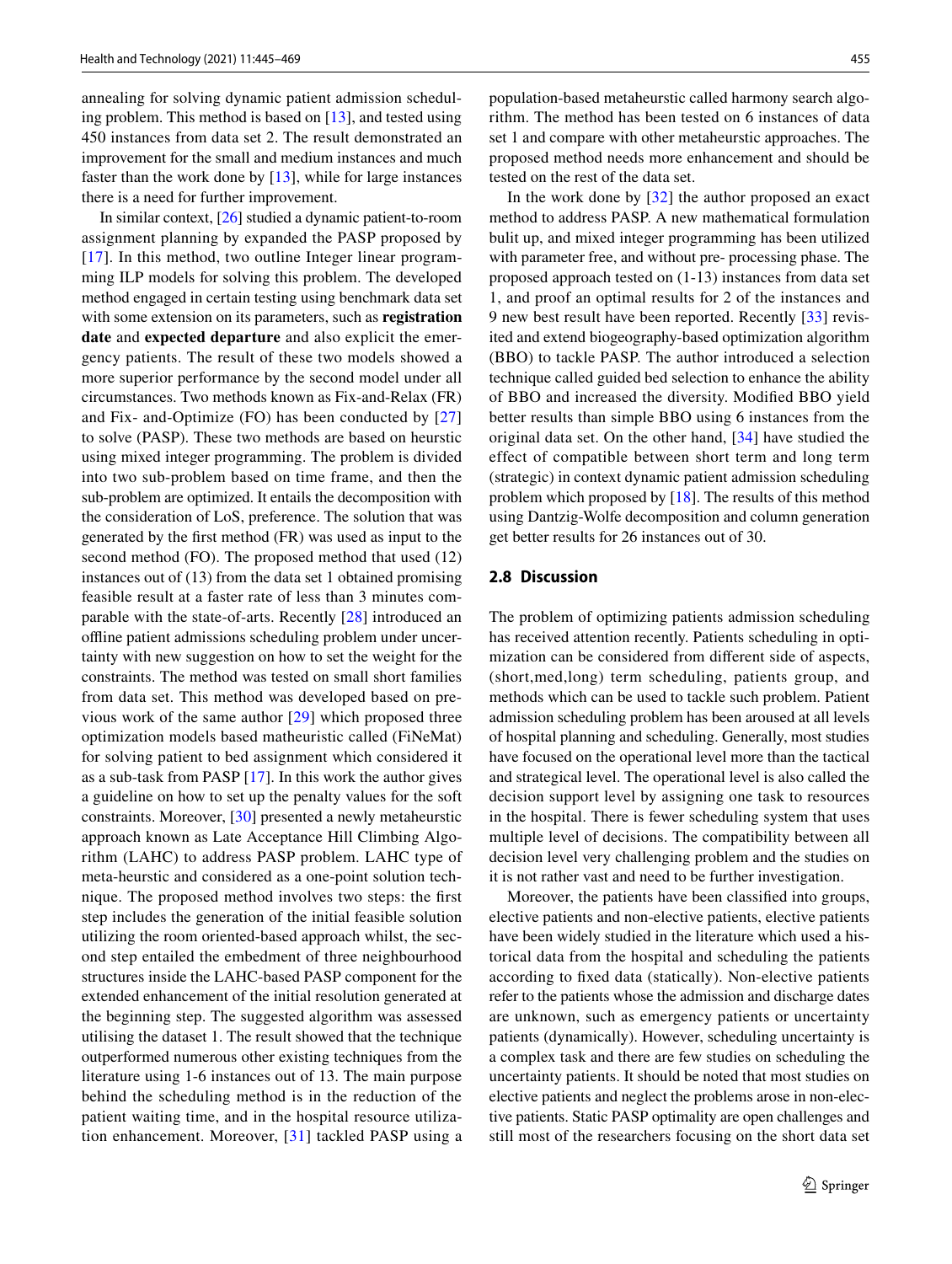annealing for solving dynamic patient admission scheduling problem. This method is based on [[13\]](#page-21-12), and tested using 450 instances from data set 2. The result demonstrated an improvement for the small and medium instances and much faster than the work done by [[13\]](#page-21-12), while for large instances there is a need for further improvement.

In similar context, [[26\]](#page-21-25) studied a dynamic patient-to-room assignment planning by expanded the PASP proposed by [[17\]](#page-21-16). In this method, two outline Integer linear programming ILP models for solving this problem. The developed method engaged in certain testing using benchmark data set with some extension on its parameters, such as **registration date** and **expected departure** and also explicit the emergency patients. The result of these two models showed a more superior performance by the second model under all circumstances. Two methods known as Fix-and-Relax (FR) and Fix- and-Optimize (FO) has been conducted by [\[27\]](#page-21-26) to solve (PASP). These two methods are based on heurstic using mixed integer programming. The problem is divided into two sub-problem based on time frame, and then the sub-problem are optimized. It entails the decomposition with the consideration of LoS, preference. The solution that was generated by the first method (FR) was used as input to the second method (FO). The proposed method that used (12) instances out of (13) from the data set 1 obtained promising feasible result at a faster rate of less than 3 minutes comparable with the state-of-arts. Recently [[28\]](#page-21-27) introduced an offline patient admissions scheduling problem under uncertainty with new suggestion on how to set the weight for the constraints. The method was tested on small short families from data set. This method was developed based on previous work of the same author [[29\]](#page-21-28) which proposed three optimization models based matheuristic called (FiNeMat) for solving patient to bed assignment which considered it as a sub-task from PASP [[17](#page-21-16)]. In this work the author gives a guideline on how to set up the penalty values for the soft constraints. Moreover, [\[30](#page-21-29)] presented a newly metaheurstic approach known as Late Acceptance Hill Climbing Algorithm (LAHC) to address PASP problem. LAHC type of meta-heurstic and considered as a one-point solution technique. The proposed method involves two steps: the first step includes the generation of the initial feasible solution utilizing the room oriented-based approach whilst, the second step entailed the embedment of three neighbourhood structures inside the LAHC-based PASP component for the extended enhancement of the initial resolution generated at the beginning step. The suggested algorithm was assessed utilising the dataset 1. The result showed that the technique outperformed numerous other existing techniques from the literature using 1-6 instances out of 13. The main purpose behind the scheduling method is in the reduction of the patient waiting time, and in the hospital resource utilization enhancement. Moreover, [[31](#page-21-30)] tackled PASP using a population-based metaheurstic called harmony search algorithm. The method has been tested on 6 instances of data set 1 and compare with other metaheurstic approaches. The proposed method needs more enhancement and should be tested on the rest of the data set.

In the work done by [[32](#page-21-31)] the author proposed an exact method to address PASP. A new mathematical formulation bulit up, and mixed integer programming has been utilized with parameter free, and without pre- processing phase. The proposed approach tested on (1-13) instances from data set 1, and proof an optimal results for 2 of the instances and 9 new best result have been reported. Recently [[33\]](#page-21-32) revisited and extend biogeography-based optimization algorithm (BBO) to tackle PASP. The author introduced a selection technique called guided bed selection to enhance the ability of BBO and increased the diversity. Modified BBO yield better results than simple BBO using 6 instances from the original data set. On the other hand, [\[34\]](#page-21-33) have studied the effect of compatible between short term and long term (strategic) in context dynamic patient admission scheduling problem which proposed by [[18\]](#page-21-17). The results of this method using Dantzig-Wolfe decomposition and column generation get better results for 26 instances out of 30.

#### **2.8 Discussion**

The problem of optimizing patients admission scheduling has received attention recently. Patients scheduling in optimization can be considered from different side of aspects, (short,med,long) term scheduling, patients group, and methods which can be used to tackle such problem. Patient admission scheduling problem has been aroused at all levels of hospital planning and scheduling. Generally, most studies have focused on the operational level more than the tactical and strategical level. The operational level is also called the decision support level by assigning one task to resources in the hospital. There is fewer scheduling system that uses multiple level of decisions. The compatibility between all decision level very challenging problem and the studies on it is not rather vast and need to be further investigation.

Moreover, the patients have been classified into groups, elective patients and non-elective patients, elective patients have been widely studied in the literature which used a historical data from the hospital and scheduling the patients according to fixed data (statically). Non-elective patients refer to the patients whose the admission and discharge dates are unknown, such as emergency patients or uncertainty patients (dynamically). However, scheduling uncertainty is a complex task and there are few studies on scheduling the uncertainty patients. It should be noted that most studies on elective patients and neglect the problems arose in non-elective patients. Static PASP optimality are open challenges and still most of the researchers focusing on the short data set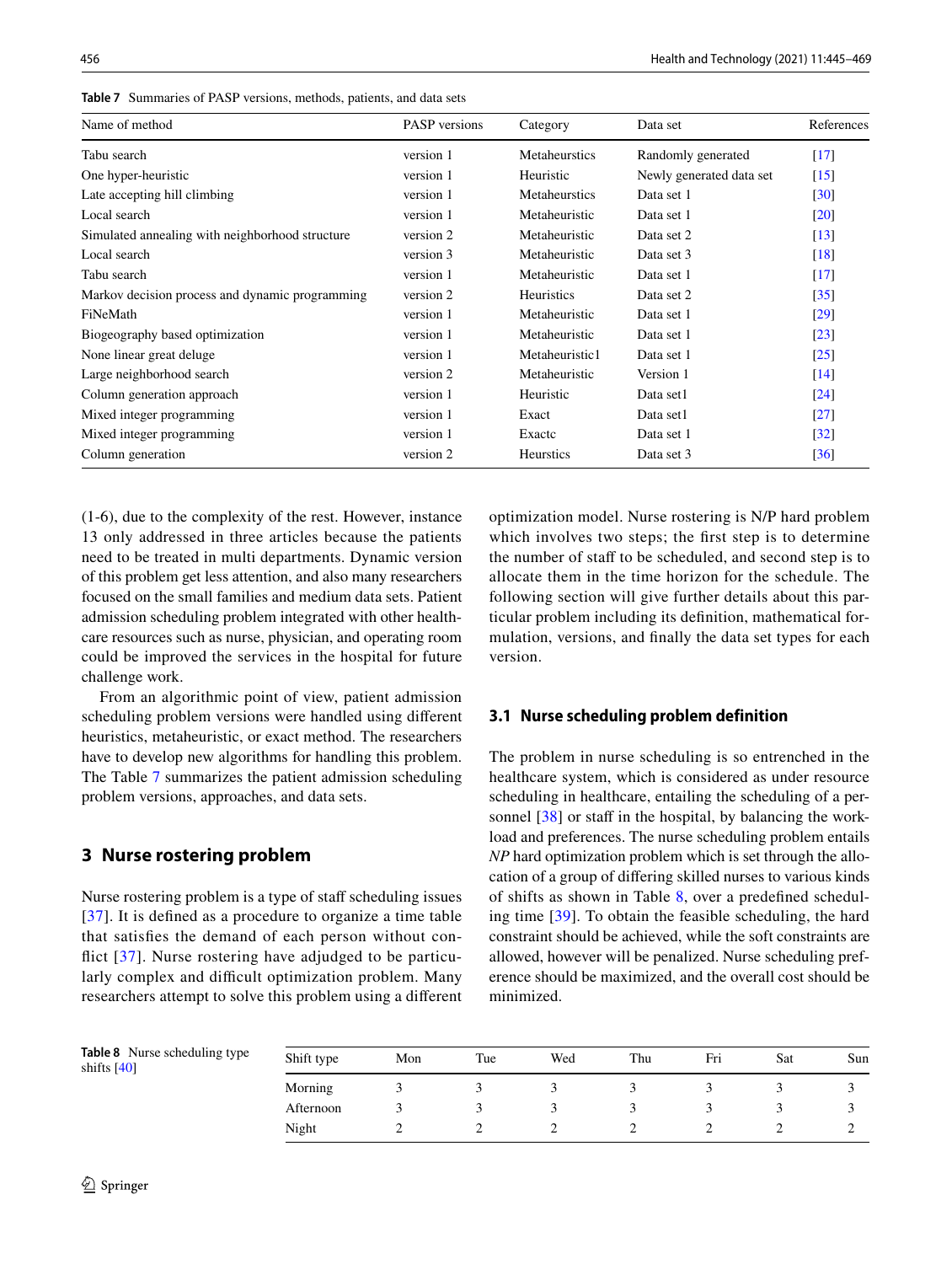| Name of method                                  | <b>PASP</b> versions | Category         | Data set                 | References         |
|-------------------------------------------------|----------------------|------------------|--------------------------|--------------------|
| Tabu search                                     | version 1            | Metaheurstics    | Randomly generated       | $[17]$             |
| One hyper-heuristic                             | version 1            | Heuristic        | Newly generated data set | $[15]$             |
| Late accepting hill climbing                    | version 1            | Metaheurstics    | Data set 1               | $\left[30\right]$  |
| Local search                                    | version 1            | Metaheuristic    | Data set 1               | [20]               |
| Simulated annealing with neighborhood structure | version 2            | Metaheuristic    | Data set 2               | $[13]$             |
| Local search                                    | version 3            | Metaheuristic    | Data set 3               | $[18]$             |
| Tabu search                                     | version 1            | Metaheuristic    | Data set 1               | $[17]$             |
| Markov decision process and dynamic programming | version 2            | Heuristics       | Data set 2               | $\left[35\right]$  |
| FiNeMath                                        | version 1            | Metaheuristic    | Data set 1               | [29]               |
| Biogeography based optimization                 | version 1            | Metaheuristic    | Data set 1               | [23]               |
| None linear great deluge.                       | version 1            | Metaheuristic1   | Data set 1               | [25]               |
| Large neighborhood search                       | version 2            | Metaheuristic    | Version 1                | $\lceil 14 \rceil$ |
| Column generation approach                      | version 1            | Heuristic        | Data set1                | $\left[24\right]$  |
| Mixed integer programming                       | version 1            | Exact            | Data set1                | $[27]$             |
| Mixed integer programming                       | version 1            | Exactc           | Data set 1               | $\left[32\right]$  |
| Column generation                               | version 2            | <b>Heurstics</b> | Data set 3               | $\left[36\right]$  |

<span id="page-11-1"></span>**Table 7** Summaries of PASP versions, methods, patients, and data sets

(1-6), due to the complexity of the rest. However, instance 13 only addressed in three articles because the patients need to be treated in multi departments. Dynamic version of this problem get less attention, and also many researchers focused on the small families and medium data sets. Patient admission scheduling problem integrated with other healthcare resources such as nurse, physician, and operating room could be improved the services in the hospital for future challenge work.

From an algorithmic point of view, patient admission scheduling problem versions were handled using different heuristics, metaheuristic, or exact method. The researchers have to develop new algorithms for handling this problem. The Table [7](#page-11-1) summarizes the patient admission scheduling problem versions, approaches, and data sets.

## <span id="page-11-0"></span>**3 Nurse rostering problem**

Nurse rostering problem is a type of staff scheduling issues [[37\]](#page-21-34). It is defined as a procedure to organize a time table that satisfies the demand of each person without conflict  $[37]$  $[37]$  $[37]$ . Nurse rostering have adjudged to be particularly complex and difficult optimization problem. Many researchers attempt to solve this problem using a different optimization model. Nurse rostering is N/P hard problem which involves two steps; the first step is to determine the number of staff to be scheduled, and second step is to allocate them in the time horizon for the schedule. The following section will give further details about this particular problem including its definition, mathematical formulation, versions, and finally the data set types for each version.

### **3.1 Nurse scheduling problem definition**

The problem in nurse scheduling is so entrenched in the healthcare system, which is considered as under resource scheduling in healthcare, entailing the scheduling of a per-sonnel [[38](#page-21-35)] or staff in the hospital, by balancing the workload and preferences. The nurse scheduling problem entails *NP* hard optimization problem which is set through the allocation of a group of differing skilled nurses to various kinds of shifts as shown in Table [8](#page-11-2), over a predefined scheduling time [[39](#page-21-36)]. To obtain the feasible scheduling, the hard constraint should be achieved, while the soft constraints are allowed, however will be penalized. Nurse scheduling preference should be maximized, and the overall cost should be minimized.

<span id="page-11-2"></span>

|               | Table 8 Nurse scheduling type |
|---------------|-------------------------------|
| shifts $[40]$ |                               |

| Shift type | Mon | Tue | Wed | Thu | Fri | Sat | Sun |
|------------|-----|-----|-----|-----|-----|-----|-----|
| Morning    |     |     |     |     |     |     |     |
| Afternoon  |     |     |     |     |     |     |     |
| Night      |     |     |     |     |     |     |     |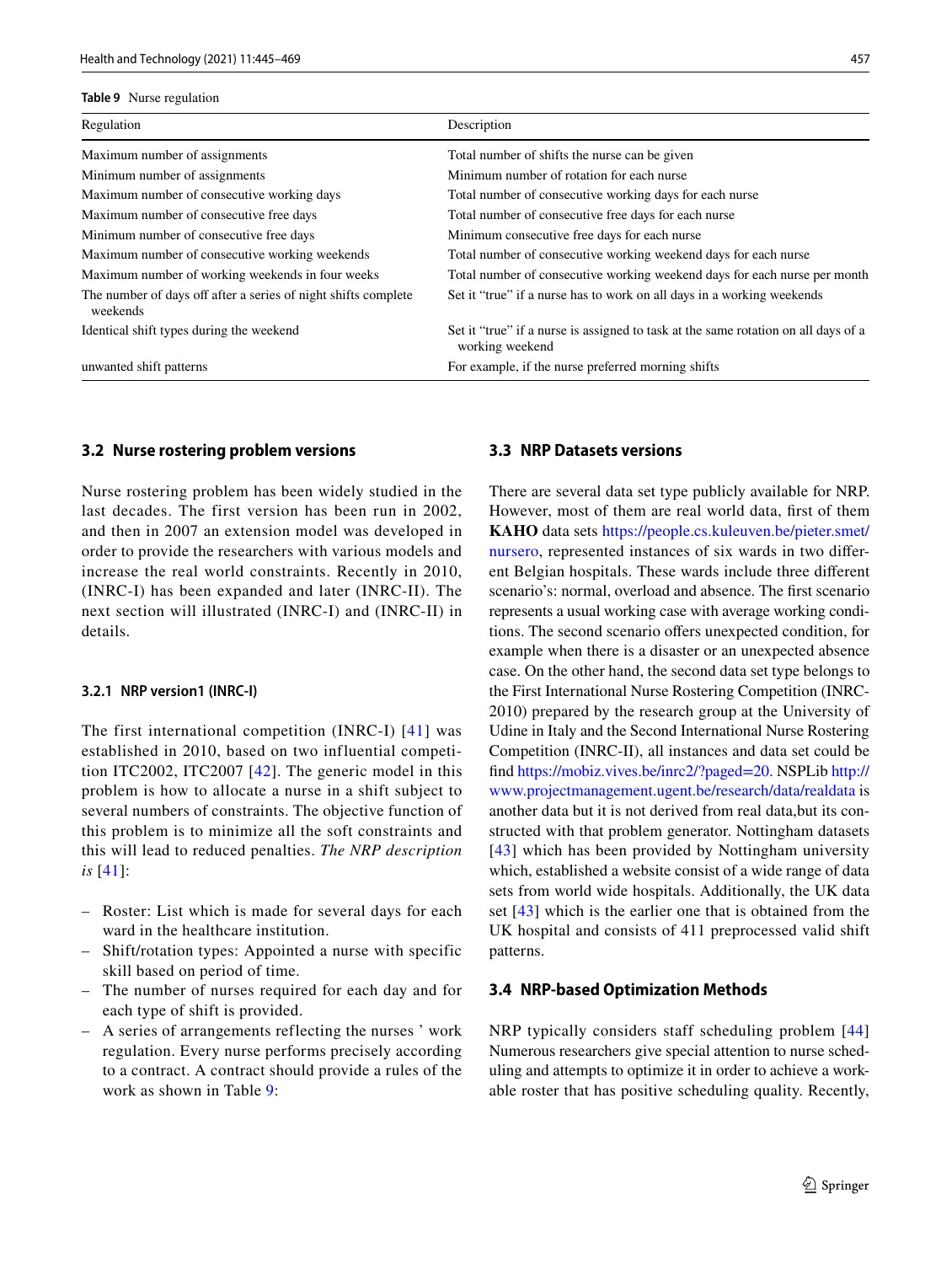#### <span id="page-12-0"></span>**Table 9** Nurse regulation

| Regulation                                                                 | Description                                                                                           |
|----------------------------------------------------------------------------|-------------------------------------------------------------------------------------------------------|
| Maximum number of assignments                                              | Total number of shifts the nurse can be given                                                         |
| Minimum number of assignments                                              | Minimum number of rotation for each nurse                                                             |
| Maximum number of consecutive working days                                 | Total number of consecutive working days for each nurse                                               |
| Maximum number of consecutive free days                                    | Total number of consecutive free days for each nurse                                                  |
| Minimum number of consecutive free days                                    | Minimum consecutive free days for each nurse                                                          |
| Maximum number of consecutive working weekends                             | Total number of consecutive working weekend days for each nurse                                       |
| Maximum number of working weekends in four weeks                           | Total number of consecutive working weekend days for each nurse per month                             |
| The number of days off after a series of night shifts complete<br>weekends | Set it "true" if a nurse has to work on all days in a working weekends                                |
| Identical shift types during the weekend                                   | Set it "true" if a nurse is assigned to task at the same rotation on all days of a<br>working weekend |
| unwanted shift patterns                                                    | For example, if the nurse preferred morning shifts                                                    |

#### **3.2 Nurse rostering problem versions**

Nurse rostering problem has been widely studied in the last decades. The first version has been run in 2002, and then in 2007 an extension model was developed in order to provide the researchers with various models and increase the real world constraints. Recently in 2010, (INRC-I) has been expanded and later (INRC-II). The next section will illustrated (INRC-I) and (INRC-II) in details.

#### **3.2.1 NRP version1 (INRC‑I)**

The first international competition (INRC-I) [[41\]](#page-22-0) was established in 2010, based on two influential competition ITC2002, ITC2007 [[42\]](#page-22-1). The generic model in this problem is how to allocate a nurse in a shift subject to several numbers of constraints. The objective function of this problem is to minimize all the soft constraints and this will lead to reduced penalties. *The NRP description is* [\[41\]](#page-22-0):

- Roster: List which is made for several days for each ward in the healthcare institution.
- Shift/rotation types: Appointed a nurse with specific skill based on period of time.
- The number of nurses required for each day and for each type of shift is provided.
- A series of arrangements reflecting the nurses ' work regulation. Every nurse performs precisely according to a contract. A contract should provide a rules of the work as shown in Table [9:](#page-12-0)

#### **3.3 NRP Datasets versions**

There are several data set type publicly available for NRP. However, most of them are real world data, first of them KAHO data sets https://people.cs.kuleuven.be/pieter.smet/ nursero, represented instances of six wards in two different Belgian hospitals. These wards include three different scenario's: normal, overload and absence. The first scenario represents a usual working case with average working conditions. The second scenario offers unexpected condition, for example when there is a disaster or an unexpected absence case. On the other hand, the second data set type belongs to the First International Nurse Rostering Competition (INRC-2010) prepared by the research group at the University of Udine in Italy and the Second International Nurse Rostering Competition (INRC-II), all instances and data set could be find https://mobiz.vives.be/inrc2/?paged=20. NSPLib [http://](http://www.projectmanagement.ugent.be/research/data/realdata) www.projectmanagement.ugent.be/research/data/realdata is another data but it is not derived from real data,but its constructed with that problem generator. Nottingham datasets [[43](#page-22-2)] which has been provided by Nottingham university which, established a website consist of a wide range of data sets from world wide hospitals. Additionally, the UK data set [[43](#page-22-2)] which is the earlier one that is obtained from the UK hospital and consists of 411 preprocessed valid shift patterns.

#### **3.4 NRP‑based Optimization Methods**

NRP typically considers staff scheduling problem [[44\]](#page-22-3) Numerous researchers give special attention to nurse scheduling and attempts to optimize it in order to achieve a workable roster that has positive scheduling quality. Recently,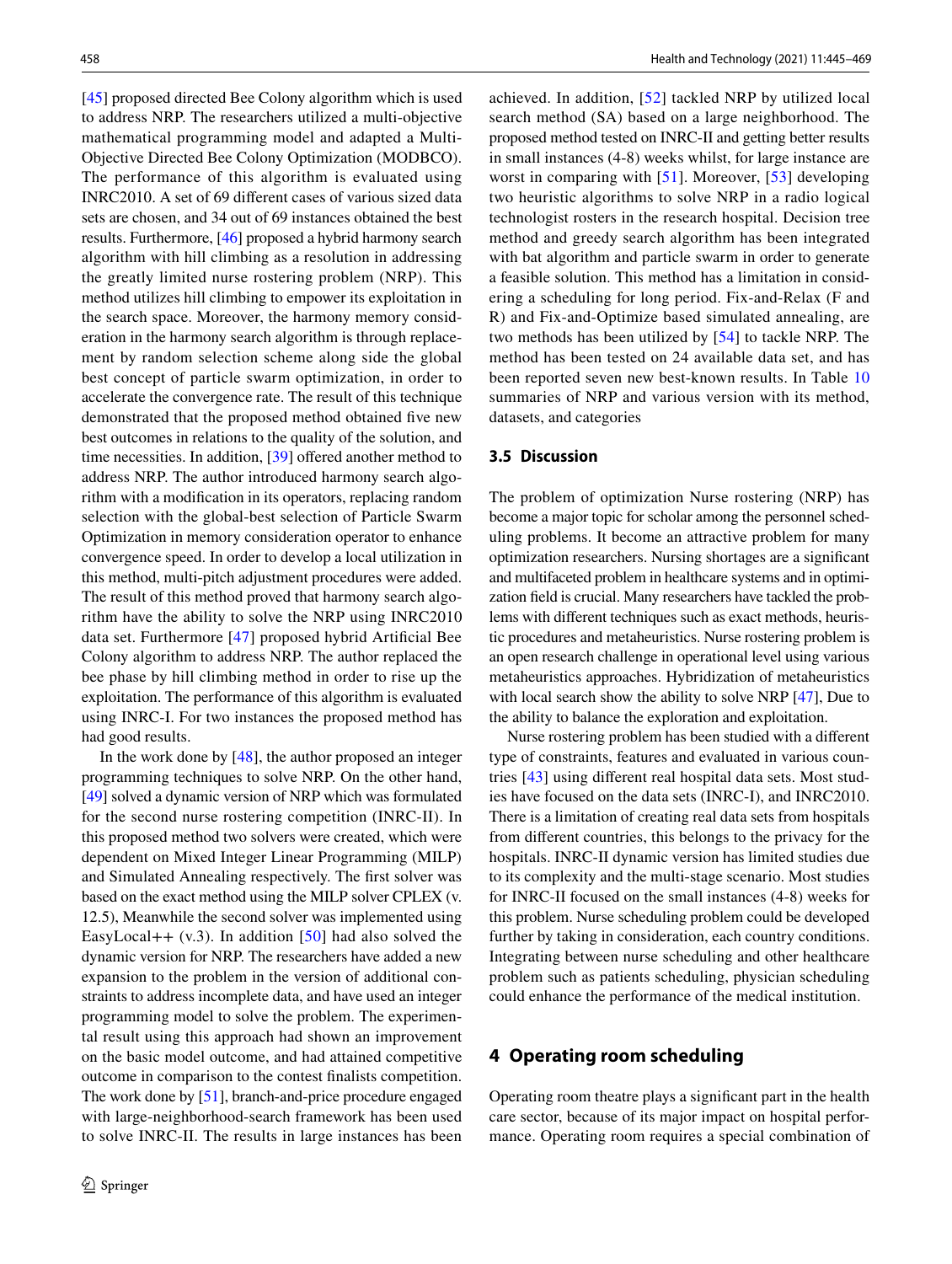[\[45](#page-22-4)] proposed directed Bee Colony algorithm which is used to address NRP. The researchers utilized a multi-objective mathematical programming model and adapted a Multi-Objective Directed Bee Colony Optimization (MODBCO). The performance of this algorithm is evaluated using INRC2010. A set of 69 different cases of various sized data sets are chosen, and 34 out of 69 instances obtained the best results. Furthermore, [[46\]](#page-22-5) proposed a hybrid harmony search algorithm with hill climbing as a resolution in addressing the greatly limited nurse rostering problem (NRP). This method utilizes hill climbing to empower its exploitation in the search space. Moreover, the harmony memory consideration in the harmony search algorithm is through replacement by random selection scheme along side the global best concept of particle swarm optimization, in order to accelerate the convergence rate. The result of this technique demonstrated that the proposed method obtained five new best outcomes in relations to the quality of the solution, and time necessities. In addition, [\[39](#page-21-36)] offered another method to address NRP. The author introduced harmony search algorithm with a modification in its operators, replacing random selection with the global-best selection of Particle Swarm Optimization in memory consideration operator to enhance convergence speed. In order to develop a local utilization in this method, multi-pitch adjustment procedures were added. The result of this method proved that harmony search algorithm have the ability to solve the NRP using INRC2010 data set. Furthermore [\[47](#page-22-6)] proposed hybrid Artificial Bee Colony algorithm to address NRP. The author replaced the bee phase by hill climbing method in order to rise up the exploitation. The performance of this algorithm is evaluated using INRC-I. For two instances the proposed method has had good results.

In the work done by [\[48\]](#page-22-7), the author proposed an integer programming techniques to solve NRP. On the other hand, [\[49](#page-22-8)] solved a dynamic version of NRP which was formulated for the second nurse rostering competition (INRC-II). In this proposed method two solvers were created, which were dependent on Mixed Integer Linear Programming (MILP) and Simulated Annealing respectively. The first solver was based on the exact method using the MILP solver CPLEX (v. 12.5), Meanwhile the second solver was implemented using EasyLocal++  $(v.3)$ . In addition [[50](#page-22-9)] had also solved the dynamic version for NRP. The researchers have added a new expansion to the problem in the version of additional constraints to address incomplete data, and have used an integer programming model to solve the problem. The experimental result using this approach had shown an improvement on the basic model outcome, and had attained competitive outcome in comparison to the contest finalists competition. The work done by [\[51](#page-22-10)], branch-and-price procedure engaged with large-neighborhood-search framework has been used to solve INRC-II. The results in large instances has been achieved. In addition, [\[52\]](#page-22-11) tackled NRP by utilized local search method (SA) based on a large neighborhood. The proposed method tested on INRC-II and getting better results in small instances (4-8) weeks whilst, for large instance are worst in comparing with [\[51\]](#page-22-10). Moreover, [\[53\]](#page-22-12) developing two heuristic algorithms to solve NRP in a radio logical technologist rosters in the research hospital. Decision tree method and greedy search algorithm has been integrated with bat algorithm and particle swarm in order to generate a feasible solution. This method has a limitation in considering a scheduling for long period. Fix-and-Relax (F and R) and Fix-and-Optimize based simulated annealing, are two methods has been utilized by [[54\]](#page-22-13) to tackle NRP. The method has been tested on 24 available data set, and has been reported seven new best-known results. In Table [10](#page-14-0) summaries of NRP and various version with its method, datasets, and categories

#### **3.5 Discussion**

The problem of optimization Nurse rostering (NRP) has become a major topic for scholar among the personnel scheduling problems. It become an attractive problem for many optimization researchers. Nursing shortages are a significant and multifaceted problem in healthcare systems and in optimization field is crucial. Many researchers have tackled the problems with different techniques such as exact methods, heuristic procedures and metaheuristics. Nurse rostering problem is an open research challenge in operational level using various metaheuristics approaches. Hybridization of metaheuristics with local search show the ability to solve NRP [\[47](#page-22-6)], Due to the ability to balance the exploration and exploitation.

Nurse rostering problem has been studied with a different type of constraints, features and evaluated in various countries [[43](#page-22-2)] using different real hospital data sets. Most studies have focused on the data sets (INRC-I), and INRC2010. There is a limitation of creating real data sets from hospitals from different countries, this belongs to the privacy for the hospitals. INRC-II dynamic version has limited studies due to its complexity and the multi-stage scenario. Most studies for INRC-II focused on the small instances (4-8) weeks for this problem. Nurse scheduling problem could be developed further by taking in consideration, each country conditions. Integrating between nurse scheduling and other healthcare problem such as patients scheduling, physician scheduling could enhance the performance of the medical institution.

### <span id="page-13-0"></span>**4 Operating room scheduling**

Operating room theatre plays a significant part in the health care sector, because of its major impact on hospital performance. Operating room requires a special combination of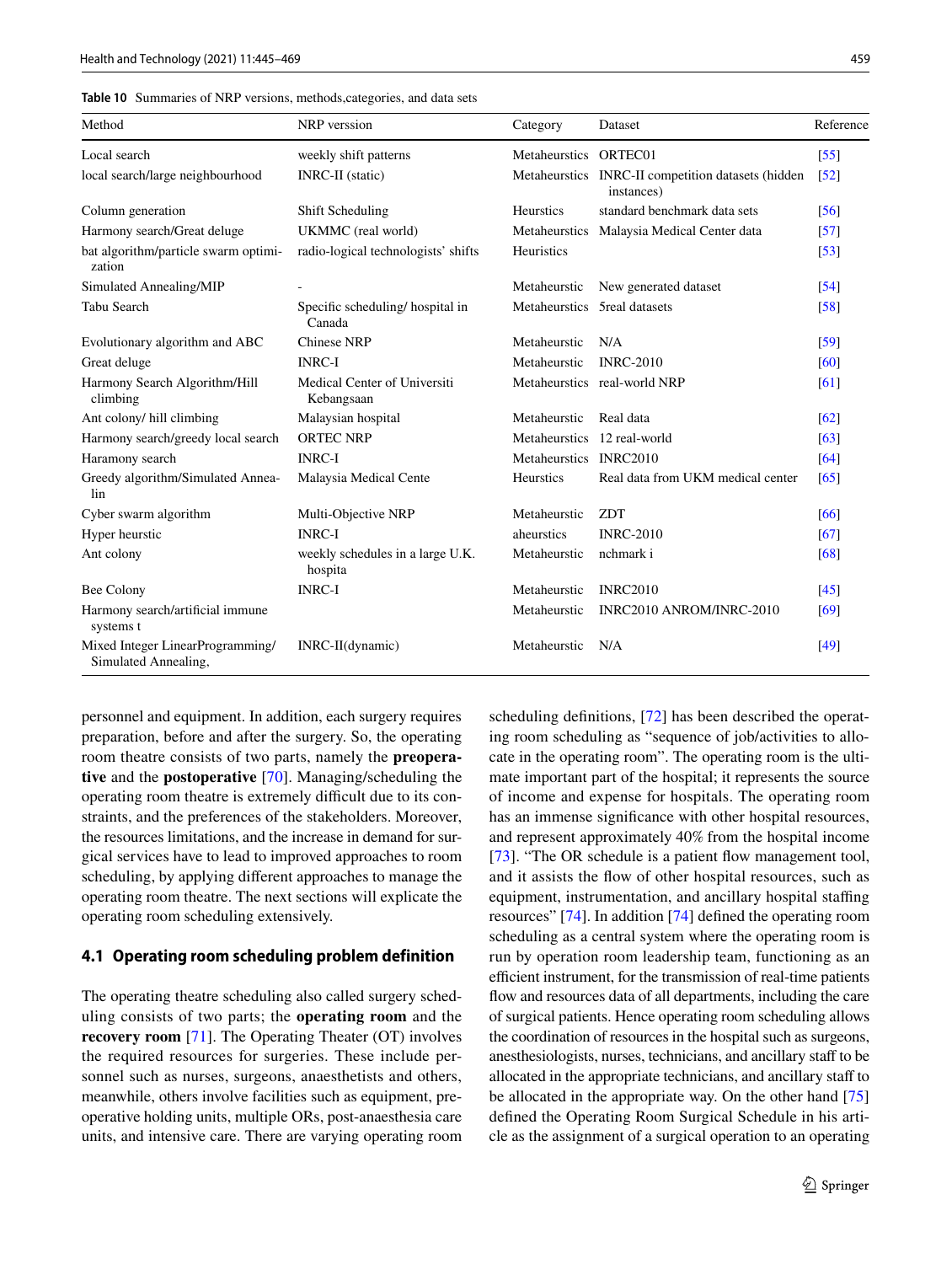<span id="page-14-0"></span>

| Method                                                   | NRP verssion                                | Category                     | Dataset                                                          | Reference          |
|----------------------------------------------------------|---------------------------------------------|------------------------------|------------------------------------------------------------------|--------------------|
| Local search                                             | weekly shift patterns                       | Metaheurstics ORTEC01        |                                                                  | $\left[55\right]$  |
| local search/large neighbourhood                         | <b>INRC-II</b> (static)                     |                              | Metaheurstics INRC-II competition datasets (hidden<br>instances) | $\sqrt{52}$        |
| Column generation                                        | Shift Scheduling                            | <b>Heurstics</b>             | standard benchmark data sets                                     | $\left[56\right]$  |
| Harmony search/Great deluge                              | UKMMC (real world)                          |                              | Metaheurstics Malaysia Medical Center data                       | $\left[57\right]$  |
| bat algorithm/particle swarm optimi-<br>zation           | radio-logical technologists' shifts         | Heuristics                   |                                                                  | $[53]$             |
| Simulated Annealing/MIP                                  |                                             | Metaheurstic                 | New generated dataset                                            | $\sqrt{54}$        |
| Tabu Search                                              | Specific scheduling/hospital in<br>Canada   | Metaheurstics 5real datasets |                                                                  | [58]               |
| Evolutionary algorithm and ABC                           | <b>Chinese NRP</b>                          | Metaheurstic                 | N/A                                                              | [59]               |
| Great deluge                                             | <b>INRC-I</b>                               | Metaheurstic                 | <b>INRC-2010</b>                                                 | [60]               |
| Harmony Search Algorithm/Hill<br>climbing                | Medical Center of Universiti<br>Kebangsaan  |                              | Metaheurstics real-world NRP                                     | [61]               |
| Ant colony/ hill climbing                                | Malaysian hospital                          | Metaheurstic                 | Real data                                                        | $\lceil 62 \rceil$ |
| Harmony search/greedy local search                       | <b>ORTEC NRP</b>                            | Metaheurstics 12 real-world  |                                                                  | [63]               |
| Haramony search                                          | <b>INRC-I</b>                               | Metaheurstics INRC2010       |                                                                  | [64]               |
| Greedy algorithm/Simulated Annea-<br>lin                 | Malaysia Medical Cente                      | Heurstics                    | Real data from UKM medical center                                | [65]               |
| Cyber swarm algorithm                                    | Multi-Objective NRP                         | Metaheurstic                 | <b>ZDT</b>                                                       | [66]               |
| Hyper heurstic                                           | <b>INRC-I</b>                               | aheurstics                   | <b>INRC-2010</b>                                                 | [67]               |
| Ant colony                                               | weekly schedules in a large U.K.<br>hospita | Metaheurstic                 | nchmark i                                                        | [68]               |
| Bee Colony                                               | <b>INRC-I</b>                               | Metaheurstic                 | <b>INRC2010</b>                                                  | [45]               |
| Harmony search/artificial immune<br>systems t            |                                             | Metaheurstic                 | INRC2010 ANROM/INRC-2010                                         | [69]               |
| Mixed Integer LinearProgramming/<br>Simulated Annealing, | $INRC-II(dynamic)$                          | Metaheurstic                 | N/A                                                              | [49]               |

personnel and equipment. In addition, each surgery requires preparation, before and after the surgery. So, the operating room theatre consists of two parts, namely the **preoperative** and the **postoperative** [[70](#page-22-14)]. Managing/scheduling the operating room theatre is extremely difficult due to its constraints, and the preferences of the stakeholders. Moreover, the resources limitations, and the increase in demand for surgical services have to lead to improved approaches to room scheduling, by applying different approaches to manage the operating room theatre. The next sections will explicate the operating room scheduling extensively.

#### **4.1 Operating room scheduling problem definition**

The operating theatre scheduling also called surgery scheduling consists of two parts; the **operating room** and the **recovery room** [[71\]](#page-22-15). The Operating Theater (OT) involves the required resources for surgeries. These include personnel such as nurses, surgeons, anaesthetists and others, meanwhile, others involve facilities such as equipment, preoperative holding units, multiple ORs, post-anaesthesia care units, and intensive care. There are varying operating room scheduling definitions, [\[72](#page-22-16)] has been described the operating room scheduling as "sequence of job/activities to allocate in the operating room". The operating room is the ultimate important part of the hospital; it represents the source of income and expense for hospitals. The operating room has an immense significance with other hospital resources, and represent approximately 40% from the hospital income [\[73](#page-22-17)]. "The OR schedule is a patient flow management tool, and it assists the flow of other hospital resources, such as equipment, instrumentation, and ancillary hospital staffing resources" [[74\]](#page-22-18). In addition [\[74](#page-22-18)] defined the operating room scheduling as a central system where the operating room is run by operation room leadership team, functioning as an efficient instrument, for the transmission of real-time patients flow and resources data of all departments, including the care of surgical patients. Hence operating room scheduling allows the coordination of resources in the hospital such as surgeons, anesthesiologists, nurses, technicians, and ancillary staff to be allocated in the appropriate technicians, and ancillary staff to be allocated in the appropriate way. On the other hand [[75\]](#page-22-19) defined the Operating Room Surgical Schedule in his article as the assignment of a surgical operation to an operating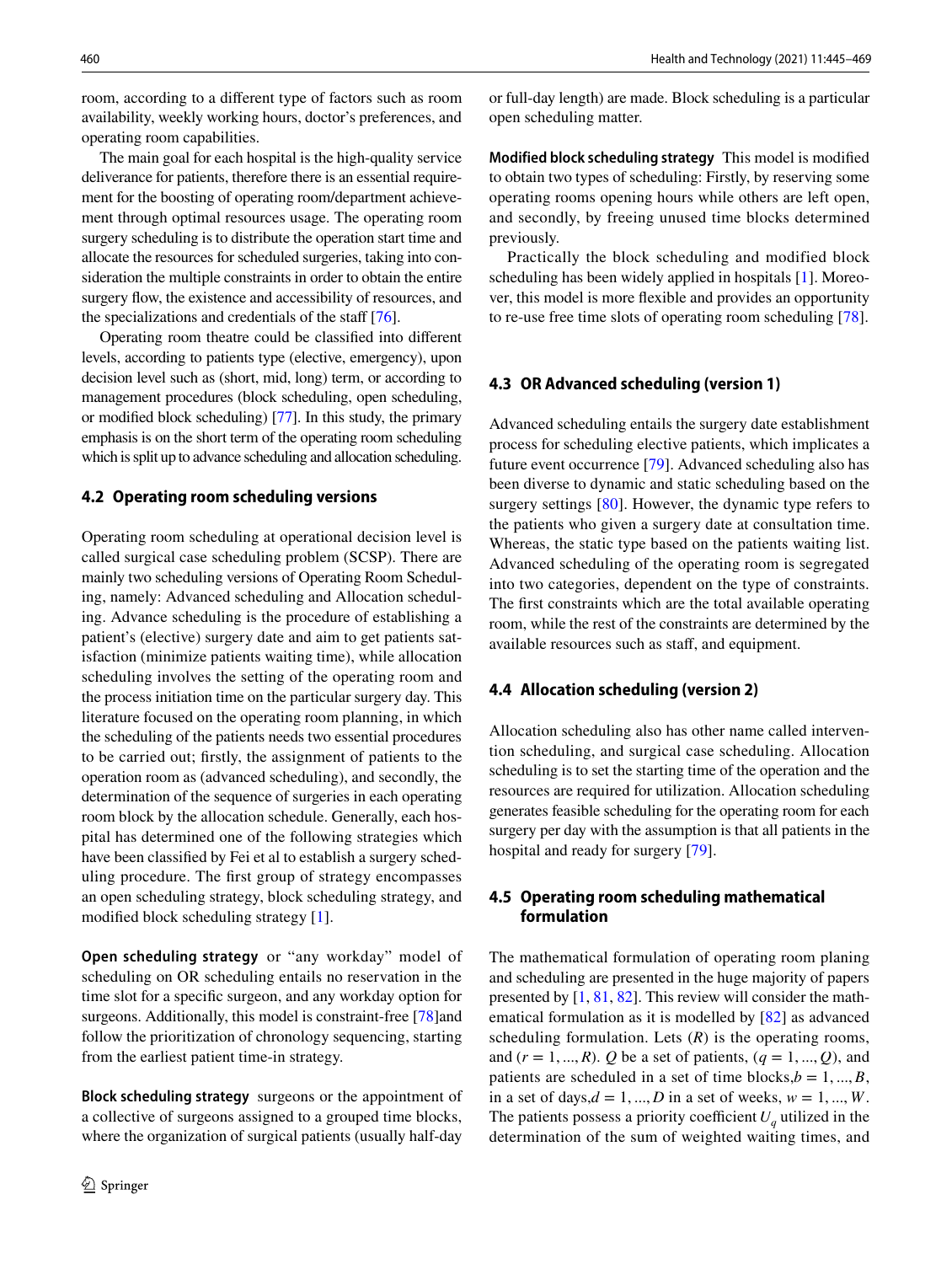room, according to a different type of factors such as room availability, weekly working hours, doctor's preferences, and operating room capabilities.

The main goal for each hospital is the high-quality service deliverance for patients, therefore there is an essential requirement for the boosting of operating room/department achievement through optimal resources usage. The operating room surgery scheduling is to distribute the operation start time and allocate the resources for scheduled surgeries, taking into consideration the multiple constraints in order to obtain the entire surgery flow, the existence and accessibility of resources, and the specializations and credentials of the staff [\[76](#page-22-35)].

Operating room theatre could be classified into different levels, according to patients type (elective, emergency), upon decision level such as (short, mid, long) term, or according to management procedures (block scheduling, open scheduling, or modified block scheduling) [\[77\]](#page-22-36). In this study, the primary emphasis is on the short term of the operating room scheduling which is split up to advance scheduling and allocation scheduling.

#### **4.2 Operating room scheduling versions**

Operating room scheduling at operational decision level is called surgical case scheduling problem (SCSP). There are mainly two scheduling versions of Operating Room Scheduling, namely: Advanced scheduling and Allocation scheduling. Advance scheduling is the procedure of establishing a patient's (elective) surgery date and aim to get patients satisfaction (minimize patients waiting time), while allocation scheduling involves the setting of the operating room and the process initiation time on the particular surgery day. This literature focused on the operating room planning, in which the scheduling of the patients needs two essential procedures to be carried out; firstly, the assignment of patients to the operation room as (advanced scheduling), and secondly, the determination of the sequence of surgeries in each operating room block by the allocation schedule. Generally, each hospital has determined one of the following strategies which have been classified by Fei et al to establish a surgery scheduling procedure. The first group of strategy encompasses an open scheduling strategy, block scheduling strategy, and modified block scheduling strategy [[1\]](#page-21-0).

**Open scheduling strategy** or "any workday" model of scheduling on OR scheduling entails no reservation in the time slot for a specific surgeon, and any workday option for surgeons. Additionally, this model is constraint-free [\[78](#page-22-37)] and follow the prioritization of chronology sequencing, starting from the earliest patient time-in strategy.

**Block scheduling strategy** surgeons or the appointment of a collective of surgeons assigned to a grouped time blocks, where the organization of surgical patients (usually half-day or full-day length) are made. Block scheduling is a particular open scheduling matter.

**Modified block scheduling strategy** This model is modified to obtain two types of scheduling: Firstly, by reserving some operating rooms opening hours while others are left open, and secondly, by freeing unused time blocks determined previously.

Practically the block scheduling and modified block scheduling has been widely applied in hospitals [[1](#page-21-0)]. Moreover, this model is more flexible and provides an opportunity to re-use free time slots of operating room scheduling [[78\]](#page-22-37).

### **4.3 OR Advanced scheduling (version 1)**

Advanced scheduling entails the surgery date establishment process for scheduling elective patients, which implicates a future event occurrence [[79\]](#page-22-38). Advanced scheduling also has been diverse to dynamic and static scheduling based on the surgery settings [[80\]](#page-22-39). However, the dynamic type refers to the patients who given a surgery date at consultation time. Whereas, the static type based on the patients waiting list. Advanced scheduling of the operating room is segregated into two categories, dependent on the type of constraints. The first constraints which are the total available operating room, while the rest of the constraints are determined by the available resources such as staff, and equipment.

#### **4.4 Allocation scheduling (version 2)**

Allocation scheduling also has other name called intervention scheduling, and surgical case scheduling. Allocation scheduling is to set the starting time of the operation and the resources are required for utilization. Allocation scheduling generates feasible scheduling for the operating room for each surgery per day with the assumption is that all patients in the hospital and ready for surgery [[79\]](#page-22-38).

### **4.5 Operating room scheduling mathematical formulation**

The mathematical formulation of operating room planing and scheduling are presented in the huge majority of papers presented by [[1,](#page-21-0) [81](#page-23-0), [82](#page-23-1)]. This review will consider the mathematical formulation as it is modelled by [[82](#page-23-1)] as advanced scheduling formulation. Lets  $(R)$  is the operating rooms, and  $(r = 1, ..., R)$ . *Q* be a set of patients,  $(q = 1, ..., Q)$ , and patients are scheduled in a set of time blocks, $b = 1, ..., B$ , in a set of days, $d = 1, ..., D$  in a set of weeks,  $w = 1, ..., W$ . The patients possess a priority coefficient  $U_q$  utilized in the determination of the sum of weighted waiting times, and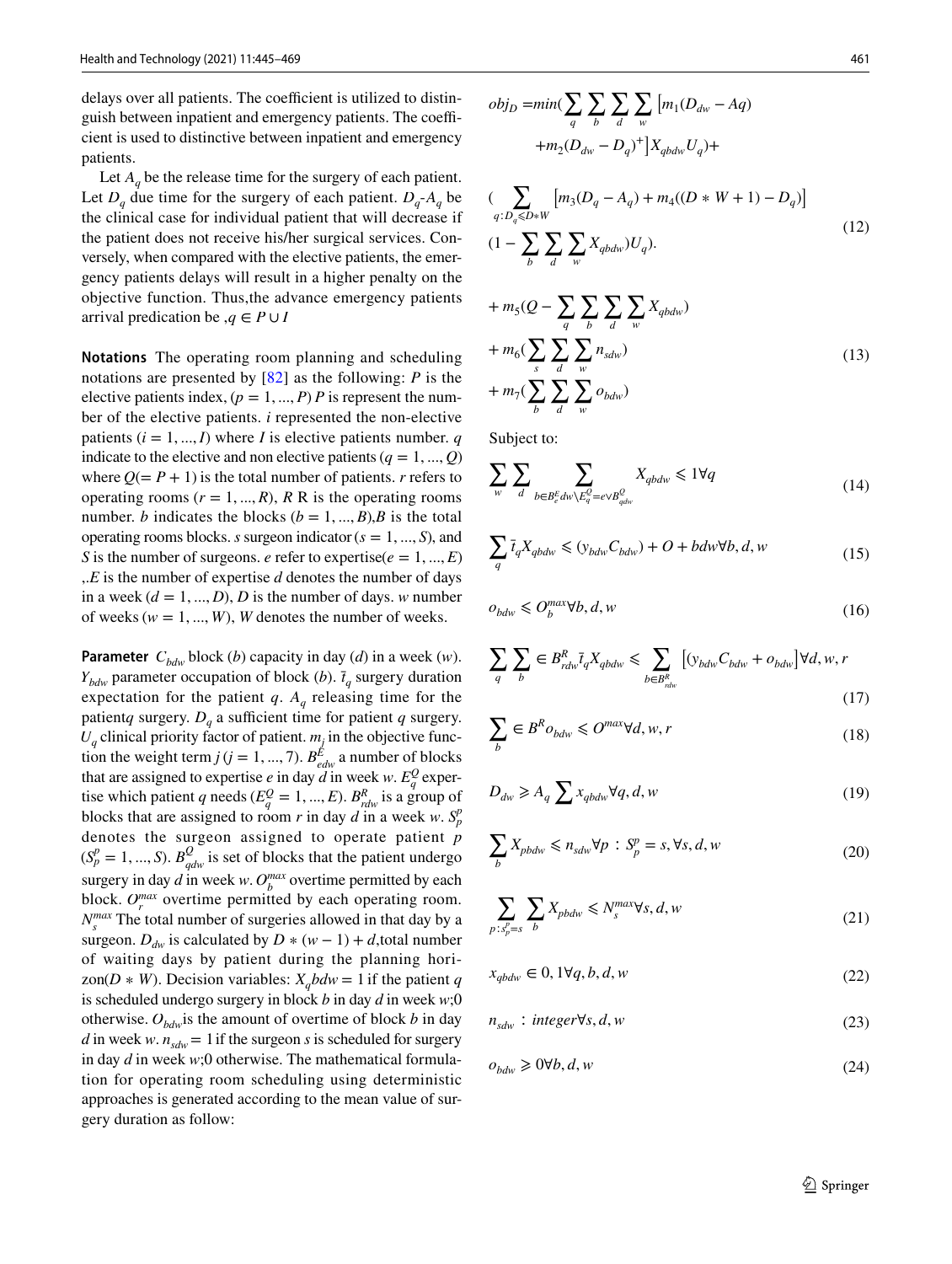delays over all patients. The coefficient is utilized to distinguish between inpatient and emergency patients. The coefficient is used to distinctive between inpatient and emergency patients.

Let  $A_q$  be the release time for the surgery of each patient. Let  $D_q$  due time for the surgery of each patient.  $D_q$ - $A_q$  be the clinical case for individual patient that will decrease if the patient does not receive his/her surgical services. Conversely, when compared with the elective patients, the emergency patients delays will result in a higher penalty on the objective function. Thus,the advance emergency patients arrival predication be  $,q \in P \cup I$ 

**Notations** The operating room planning and scheduling notations are presented by [[82](#page-23-1)] as the following: *P* is the elective patients index,  $(p = 1, ..., P)$  *P* is represent the number of the elective patients. *i* represented the non-elective patients  $(i = 1, ..., I)$  where *I* is elective patients number. *q* indicate to the elective and non elective patients  $(q = 1, ..., Q)$ where  $Q = P + 1$ ) is the total number of patients. *r* refers to operating rooms  $(r = 1, ..., R)$ ,  $R \to \infty$  is the operating rooms number. *b* indicates the blocks  $(b = 1, ..., B)$ , *B* is the total operating rooms blocks. *s* surgeon indicator  $(s = 1, ..., S)$ , and *S* is the number of surgeons. *e* refer to expertise( $e = 1, ..., E$ ) ,.*E* is the number of expertise *d* denotes the number of days in a week  $(d = 1, ..., D)$ , *D* is the number of days. *w* number of weeks ( $w = 1, ..., W$ ), *W* denotes the number of weeks.

**Parameter**  $C_{bdw}$  block (*b*) capacity in day (*d*) in a week (*w*).  $Y_{bdw}$  parameter occupation of block (*b*).  $\bar{t}_q$  surgery duration expectation for the patient  $q$ .  $A_q$  releasing time for the patient*q* surgery.  $D_q$  a sufficient time for patient *q* surgery.  $U_q$  clinical priority factor of patient.  $m_j$  in the objective function the weight term  $j$  ( $j = 1, ..., 7$ ).  $B_{edw}^{\cancel{E}}$  a number of blocks that are assigned to expertise *e* in day *d* in week *w*.  $E_q^Q$  expertise which patient *q* needs ( $E_q^Q = 1, ..., E$ ).  $B_{rdw}^R$  is a group of blocks that are assigned to room *r* in day *d* in a week *w*.  $S_p^p$ denotes the surgeon assigned to operate patient *p*  $(S_p^p = 1, ..., S)$ .  $B_{qdw}^Q$  is set of blocks that the patient undergo surgery in day *d* in week *w*.  $O_b^{max}$  overtime permitted by each block.  $O_r^{max}$  overtime permitted by each operating room.  $N_s^{max}$  The total number of surgeries allowed in that day by a surgeon.  $D_{dw}$  is calculated by  $D * (w - 1) + d$ , total number of waiting days by patient during the planning horizon(*D*  $*$  *W*). Decision variables:  $X_q b dw = 1$  if the patient *q* is scheduled undergo surgery in block *b* in day *d* in week *w*;0 otherwise.  $O_{bdw}$  is the amount of overtime of block *b* in day *d* in week *w*.  $n_{\text{adv}} = 1$  if the surgeon *s* is scheduled for surgery in day *d* in week *w*;0 otherwise. The mathematical formulation for operating room scheduling using deterministic approaches is generated according to the mean value of surgery duration as follow:

$$
obj_D = min(\sum_q \sum_b \sum_d \sum_w [m_1(D_{dw} - Aq) + m_2(D_{dw} - D_q)^+] X_{qbdw} U_q) +
$$
  
( $\sum [m_3(D_q - A_q) + m_4((D*W + 1) - D_q)]$ 

$$
\sum_{q:D_q \leq D*W} [m_3(D_q - A_q) + m_4((D * W + 1) - D_q)]
$$
  
(1 - 
$$
\sum_b \sum_d \sum_w X_{qbdw} U_q).
$$
 (12)

$$
+ m_5(Q - \sum_{q} \sum_{b} \sum_{d} \sum_{w} X_{qbdw})
$$
  

$$
+ m_6(\sum_{s} \sum_{d} \sum_{w} n_{sdw})
$$
  

$$
+ m_7(\sum_{b} \sum_{d} \sum_{w} o_{bdw})
$$
 (13)

Subject to:

$$
\sum_{w} \sum_{d} \sum_{b \in B_e^E dw \setminus E_q^Q = e \vee B_{qdw}^Q} X_{qbdw} \le 1 \forall q
$$
\n(14)

$$
\sum_{q} \bar{t}_{q} X_{qbdw} \le (y_{bdw} C_{bdw}) + O + bdw \forall b, d, w
$$
\n(15)

$$
o_{bdw} \leqslant O_b^{max} \forall b, d, w \tag{16}
$$

$$
\sum_{q} \sum_{b} \in B^{R}_{rdw} \bar{t}_{q} X_{qbdw} \leq \sum_{b \in B^{R}_{rdw}} \left[ (y_{bdw} C_{bdw} + o_{bdw}) \forall d, w, r \right]
$$
\n(17)

$$
\sum_{b} \in B^{R} o_{bdw} \leq O^{max} \forall d, w, r
$$
\n(18)

$$
D_{dw} \ge A_q \sum x_{qbdw} \forall q, d, w \tag{19}
$$

$$
\sum_{b} X_{pbdw} \leqslant n_{sdw} \forall p : S_p^p = s, \forall s, d, w \tag{20}
$$

$$
\sum_{p:s_p^p=s} \sum_{b} X_{pbdw} \leq N_s^{max} \forall s, d, w \tag{21}
$$

 $x_{qbdw}$  ∈ 0, 1∀*q*, *b*, *d*, *w* (22)

$$
n_{sdw} : integer \forall s, d, w \tag{23}
$$

$$
o_{bdw} \ge 0 \forall b, d, w \tag{24}
$$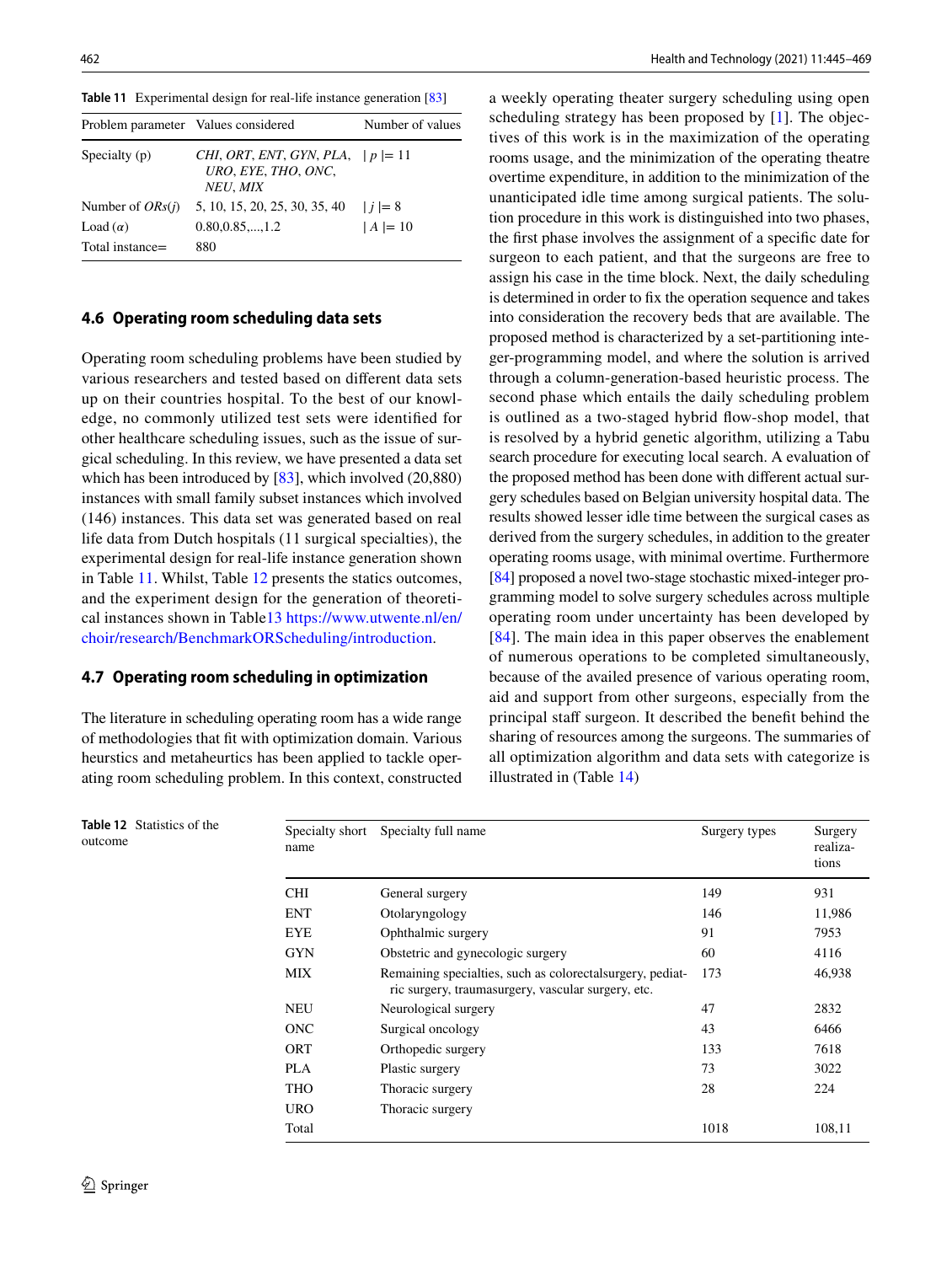<span id="page-17-0"></span>

| <b>Table 11</b> Experimental design for real-life instance generation [83] |  |  |  |
|----------------------------------------------------------------------------|--|--|--|
|                                                                            |  |  |  |

| Problem parameter Values considered |                                                                      | Number of values |
|-------------------------------------|----------------------------------------------------------------------|------------------|
| Specialty (p)                       | CHI, ORT, ENT, GYN, PLA, $ p =11$<br>URO, EYE, THO, ONC,<br>NEU, MIX |                  |
| Number of $ORS(i)$                  | 5, 10, 15, 20, 25, 30, 35, 40                                        | $ i =8$          |
| Load $(\alpha)$                     | $0.80, 0.85, \ldots, 1.2$                                            | $ A  = 10$       |
| Total instance=                     | 880                                                                  |                  |

#### **4.6 Operating room scheduling data sets**

Operating room scheduling problems have been studied by various researchers and tested based on different data sets up on their countries hospital. To the best of our knowledge, no commonly utilized test sets were identified for other healthcare scheduling issues, such as the issue of surgical scheduling. In this review, we have presented a data set which has been introduced by [\[83](#page-23-2)], which involved (20,880) instances with small family subset instances which involved (146) instances. This data set was generated based on real life data from Dutch hospitals (11 surgical specialties), the experimental design for real-life instance generation shown in Table [11](#page-17-0). Whilst, Table [12](#page-17-1) presents the statics outcomes, and the experiment design for the generation of theoreti-cal instances shown in Table[13](#page-18-0) https://www.utwente.nl/en/ choir/research/BenchmarkORScheduling/introduction.

#### **4.7 Operating room scheduling in optimization**

The literature in scheduling operating room has a wide range of methodologies that fit with optimization domain. Various heurstics and metaheurtics has been applied to tackle operating room scheduling problem. In this context, constructed a weekly operating theater surgery scheduling using open scheduling strategy has been proposed by [\[1\]](#page-21-0). The objectives of this work is in the maximization of the operating rooms usage, and the minimization of the operating theatre overtime expenditure, in addition to the minimization of the unanticipated idle time among surgical patients. The solution procedure in this work is distinguished into two phases, the first phase involves the assignment of a specific date for surgeon to each patient, and that the surgeons are free to assign his case in the time block. Next, the daily scheduling is determined in order to fix the operation sequence and takes into consideration the recovery beds that are available. The proposed method is characterized by a set-partitioning integer-programming model, and where the solution is arrived through a column-generation-based heuristic process. The second phase which entails the daily scheduling problem is outlined as a two-staged hybrid flow-shop model, that is resolved by a hybrid genetic algorithm, utilizing a Tabu search procedure for executing local search. A evaluation of the proposed method has been done with different actual surgery schedules based on Belgian university hospital data. The results showed lesser idle time between the surgical cases as derived from the surgery schedules, in addition to the greater operating rooms usage, with minimal overtime. Furthermore [\[84](#page-23-3)] proposed a novel two-stage stochastic mixed-integer programming model to solve surgery schedules across multiple operating room under uncertainty has been developed by [[84\]](#page-23-3). The main idea in this paper observes the enablement of numerous operations to be completed simultaneously, because of the availed presence of various operating room, aid and support from other surgeons, especially from the principal staff surgeon. It described the benefit behind the sharing of resources among the surgeons. The summaries of all optimization algorithm and data sets with categorize is illustrated in (Table [14\)](#page-18-1)

| Specialty short<br>name | Specialty full name                                                                                              | Surgery types | Surgery<br>realiza-<br>tions |
|-------------------------|------------------------------------------------------------------------------------------------------------------|---------------|------------------------------|
| <b>CHI</b>              | General surgery                                                                                                  | 149           | 931                          |
| <b>ENT</b>              | Otolaryngology                                                                                                   | 146           | 11,986                       |
| <b>EYE</b>              | Ophthalmic surgery                                                                                               | 91            | 7953                         |
| <b>GYN</b>              | Obstetric and gynecologic surgery                                                                                | 60            | 4116                         |
| <b>MIX</b>              | Remaining specialties, such as colorectal surgery, pediat-<br>ric surgery, traumasurgery, vascular surgery, etc. | 173           | 46,938                       |
| <b>NEU</b>              | Neurological surgery                                                                                             | 47            | 2832                         |
| <b>ONC</b>              | Surgical oncology                                                                                                | 43            | 6466                         |
| <b>ORT</b>              | Orthopedic surgery                                                                                               | 133           | 7618                         |
| PLA                     | Plastic surgery                                                                                                  | 73            | 3022                         |
| <b>THO</b>              | Thoracic surgery                                                                                                 | 28            | 224                          |
| <b>URO</b>              | Thoracic surgery                                                                                                 |               |                              |
| Total                   |                                                                                                                  | 1018          | 108.11                       |

<span id="page-17-1"></span>**Table 12** Statistics of the outcome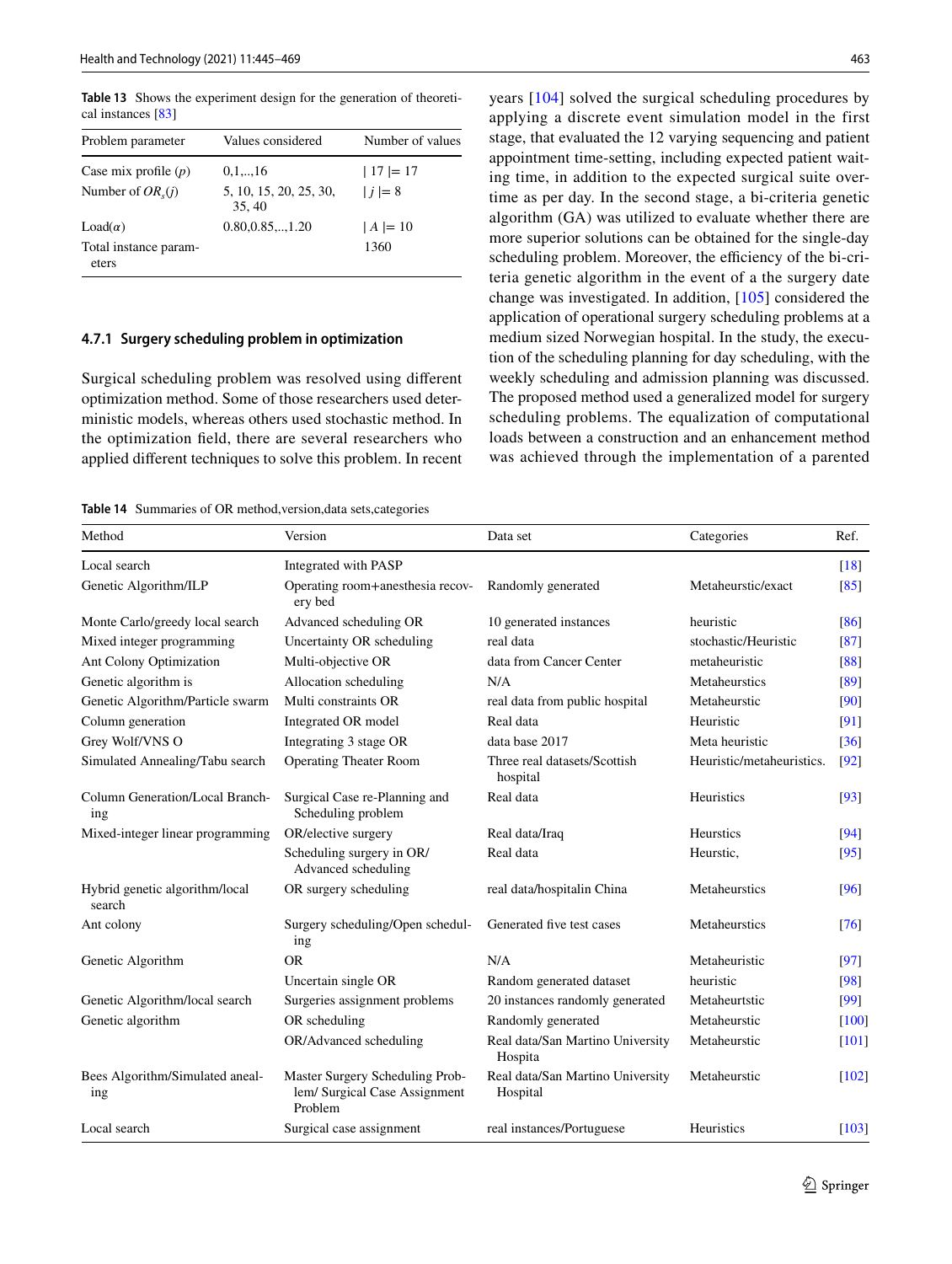<span id="page-18-0"></span>**Table 13** Shows the experiment design for the generation of theoretical instances [\[83\]](#page-23-2)

| Problem parameter              | Values considered               | Number of values |
|--------------------------------|---------------------------------|------------------|
| Case mix profile $(p)$         | 0,1,,16                         | $ 17  = 17$      |
| Number of $OR_{s}(i)$          | 5, 10, 15, 20, 25, 30,<br>35.40 | $ i =8$          |
| $Load(\alpha)$                 | $0.80, 0.85, \ldots, 1.20$      | $ A  = 10$       |
| Total instance param-<br>eters |                                 | 1360             |

#### **4.7.1 Surgery scheduling problem in optimization**

Surgical scheduling problem was resolved using different optimization method. Some of those researchers used deterministic models, whereas others used stochastic method. In the optimization field, there are several researchers who applied different techniques to solve this problem. In recent

<span id="page-18-1"></span>**Table 14** Summaries of OR method,version,data sets,categories

years [\[104\]](#page-23-4) solved the surgical scheduling procedures by applying a discrete event simulation model in the first stage, that evaluated the 12 varying sequencing and patient appointment time-setting, including expected patient waiting time, in addition to the expected surgical suite overtime as per day. In the second stage, a bi-criteria genetic algorithm (GA) was utilized to evaluate whether there are more superior solutions can be obtained for the single-day scheduling problem. Moreover, the efficiency of the bi-criteria genetic algorithm in the event of a the surgery date change was investigated. In addition, [\[105\]](#page-23-5) considered the application of operational surgery scheduling problems at a medium sized Norwegian hospital. In the study, the execution of the scheduling planning for day scheduling, with the weekly scheduling and admission planning was discussed. The proposed method used a generalized model for surgery scheduling problems. The equalization of computational loads between a construction and an enhancement method was achieved through the implementation of a parented

| Method                                   | Version                                                                     | Data set                                     | Categories                | Ref.                |
|------------------------------------------|-----------------------------------------------------------------------------|----------------------------------------------|---------------------------|---------------------|
| Local search                             | Integrated with PASP                                                        |                                              |                           | $\lceil 18 \rceil$  |
| Genetic Algorithm/ILP                    | Operating room+anesthesia recov-<br>ery bed                                 | Randomly generated                           | Metaheurstic/exact        | [85]                |
| Monte Carlo/greedy local search          | Advanced scheduling OR                                                      | 10 generated instances                       | heuristic                 | [86]                |
| Mixed integer programming                | Uncertainty OR scheduling                                                   | real data                                    | stochastic/Heuristic      | [87]                |
| Ant Colony Optimization                  | Multi-objective OR                                                          | data from Cancer Center                      | metaheuristic             | [88]                |
| Genetic algorithm is                     | Allocation scheduling                                                       | N/A                                          | Metaheurstics             | [89]                |
| Genetic Algorithm/Particle swarm         | Multi constraints OR                                                        | real data from public hospital               | Metaheurstic              | [90]                |
| Column generation                        | Integrated OR model                                                         | Real data                                    | Heuristic                 | [91]                |
| Grey Wolf/VNS O                          | Integrating 3 stage OR                                                      | data base 2017                               | Meta heuristic            | $\lceil 36 \rceil$  |
| Simulated Annealing/Tabu search          | <b>Operating Theater Room</b>                                               | Three real datasets/Scottish<br>hospital     | Heuristic/metaheuristics. | $\lceil 92 \rceil$  |
| Column Generation/Local Branch-<br>ing   | Surgical Case re-Planning and<br>Scheduling problem                         | Real data                                    | <b>Heuristics</b>         | [93]                |
| Mixed-integer linear programming         | OR/elective surgery                                                         | Real data/Iraq                               | Heurstics                 | [94]                |
|                                          | Scheduling surgery in OR/<br>Advanced scheduling                            | Real data                                    | Heurstic,                 | [95]                |
| Hybrid genetic algorithm/local<br>search | OR surgery scheduling                                                       | real data/hospitalin China                   | Metaheurstics             | [96]                |
| Ant colony                               | Surgery scheduling/Open schedul-<br>ing                                     | Generated five test cases                    | Metaheurstics             | $\sqrt{76}$         |
| Genetic Algorithm                        | <b>OR</b>                                                                   | N/A                                          | Metaheuristic             | [97]                |
|                                          | Uncertain single OR                                                         | Random generated dataset                     | heuristic                 | [98]                |
| Genetic Algorithm/local search           | Surgeries assignment problems                                               | 20 instances randomly generated              | Metaheurtstic             | $[99]$              |
| Genetic algorithm                        | OR scheduling                                                               | Randomly generated                           | Metaheurstic              | [100]               |
|                                          | OR/Advanced scheduling                                                      | Real data/San Martino University<br>Hospita  | Metaheurstic              | $\lceil 101 \rceil$ |
| Bees Algorithm/Simulated aneal-<br>ing   | Master Surgery Scheduling Prob-<br>lem/ Surgical Case Assignment<br>Problem | Real data/San Martino University<br>Hospital | Metaheurstic              | [102]               |
| Local search                             | Surgical case assignment                                                    | real instances/Portuguese                    | Heuristics                | $[103]$             |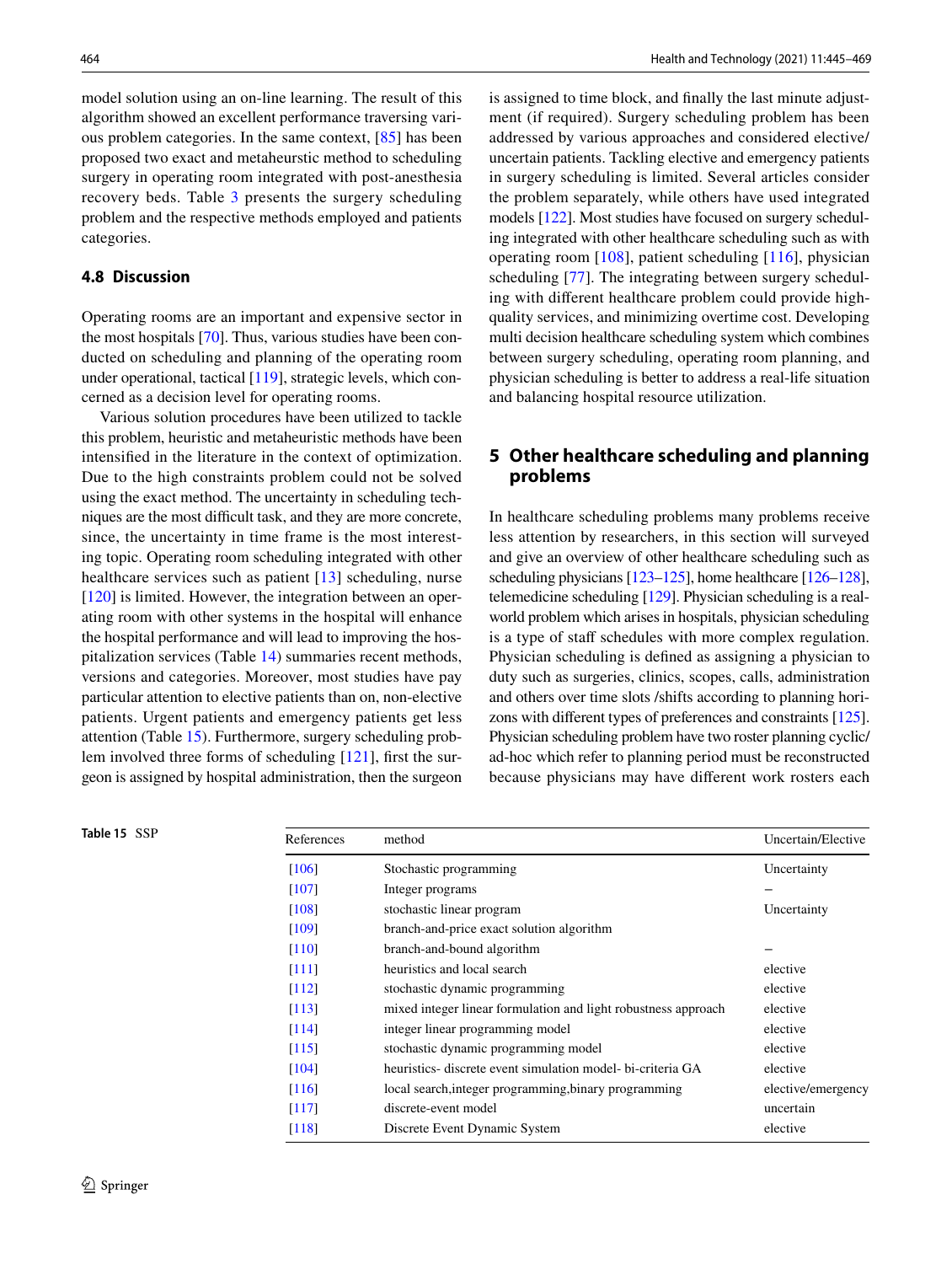model solution using an on-line learning. The result of this algorithm showed an excellent performance traversing various problem categories. In the same context, [[85](#page-23-6)] has been proposed two exact and metaheurstic method to scheduling surgery in operating room integrated with post-anesthesia recovery beds. Table [3](#page-3-0) presents the surgery scheduling problem and the respective methods employed and patients categories.

### **4.8 Discussion**

Operating rooms are an important and expensive sector in the most hospitals [\[70](#page-22-14)]. Thus, various studies have been conducted on scheduling and planning of the operating room under operational, tactical [\[119](#page-23-25)], strategic levels, which concerned as a decision level for operating rooms.

Various solution procedures have been utilized to tackle this problem, heuristic and metaheuristic methods have been intensified in the literature in the context of optimization. Due to the high constraints problem could not be solved using the exact method. The uncertainty in scheduling techniques are the most difficult task, and they are more concrete, since, the uncertainty in time frame is the most interesting topic. Operating room scheduling integrated with other healthcare services such as patient [\[13\]](#page-21-12) scheduling, nurse [\[120\]](#page-24-0) is limited. However, the integration between an operating room with other systems in the hospital will enhance the hospital performance and will lead to improving the hospitalization services (Table [14\)](#page-18-1) summaries recent methods, versions and categories. Moreover, most studies have pay particular attention to elective patients than on, non-elective patients. Urgent patients and emergency patients get less attention (Table [15](#page-19-1)). Furthermore, surgery scheduling problem involved three forms of scheduling [\[121](#page-24-1)], first the surgeon is assigned by hospital administration, then the surgeon is assigned to time block, and finally the last minute adjustment (if required). Surgery scheduling problem has been addressed by various approaches and considered elective/ uncertain patients. Tackling elective and emergency patients in surgery scheduling is limited. Several articles consider the problem separately, while others have used integrated models [\[122\]](#page-24-2). Most studies have focused on surgery scheduling integrated with other healthcare scheduling such as with operating room [[108\]](#page-23-26), patient scheduling [\[116](#page-23-27)], physician scheduling [\[77](#page-22-36)]. The integrating between surgery scheduling with different healthcare problem could provide highquality services, and minimizing overtime cost. Developing multi decision healthcare scheduling system which combines between surgery scheduling, operating room planning, and physician scheduling is better to address a real-life situation and balancing hospital resource utilization.

### <span id="page-19-0"></span>**5 Other healthcare scheduling and planning problems**

In healthcare scheduling problems many problems receive less attention by researchers, in this section will surveyed and give an overview of other healthcare scheduling such as scheduling physicians [\[123](#page-24-3)[–125\]](#page-24-4), home healthcare [[126](#page-24-5)[–128\]](#page-24-6), telemedicine scheduling [\[129\]](#page-24-7). Physician scheduling is a realworld problem which arises in hospitals, physician scheduling is a type of staff schedules with more complex regulation. Physician scheduling is defined as assigning a physician to duty such as surgeries, clinics, scopes, calls, administration and others over time slots /shifts according to planning horizons with different types of preferences and constraints [\[125\]](#page-24-4). Physician scheduling problem have two roster planning cyclic/ ad-hoc which refer to planning period must be reconstructed because physicians may have different work rosters each

<span id="page-19-1"></span>

| Table 15 SSP | References          | method                                                         | Uncertain/Elective |
|--------------|---------------------|----------------------------------------------------------------|--------------------|
|              | [106]               | Stochastic programming                                         | Uncertainty        |
|              | [107]               | Integer programs                                               |                    |
|              | [108]               | stochastic linear program                                      | Uncertainty        |
|              | [109]               | branch-and-price exact solution algorithm                      |                    |
|              | $\lceil 110 \rceil$ | branch-and-bound algorithm                                     |                    |
|              | [111]               | heuristics and local search                                    | elective           |
|              | $\lceil 112 \rceil$ | stochastic dynamic programming                                 | elective           |
|              | [113]               | mixed integer linear formulation and light robustness approach | elective           |
|              | [114]               | integer linear programming model                               | elective           |
|              | [115]               | stochastic dynamic programming model                           | elective           |
|              | [104]               | heuristics- discrete event simulation model- bi-criteria GA    | elective           |
|              | $\lceil 116 \rceil$ | local search, integer programming, binary programming          | elective/emergency |
|              | $\lceil 117 \rceil$ | discrete-event model                                           | uncertain          |
|              | $\lceil 118 \rceil$ | Discrete Event Dynamic System                                  | elective           |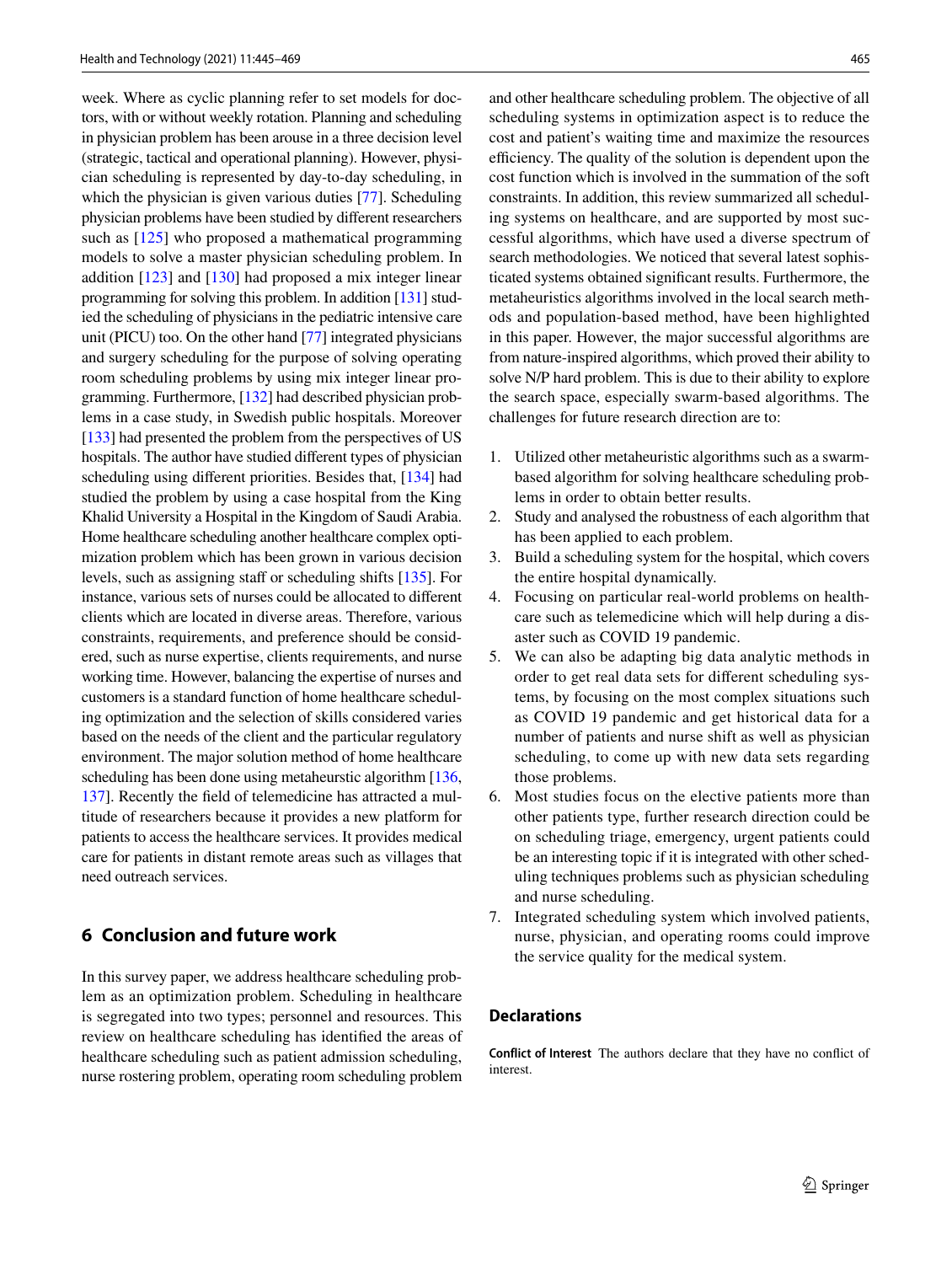week. Where as cyclic planning refer to set models for doctors, with or without weekly rotation. Planning and scheduling in physician problem has been arouse in a three decision level (strategic, tactical and operational planning). However, physician scheduling is represented by day-to-day scheduling, in which the physician is given various duties [[77](#page-22-36)]. Scheduling physician problems have been studied by different researchers such as [\[125](#page-24-4)] who proposed a mathematical programming models to solve a master physician scheduling problem. In addition [\[123](#page-24-3)] and [[130\]](#page-24-8) had proposed a mix integer linear programming for solving this problem. In addition [\[131](#page-24-9)] studied the scheduling of physicians in the pediatric intensive care unit (PICU) too. On the other hand [[77](#page-22-36)] integrated physicians and surgery scheduling for the purpose of solving operating room scheduling problems by using mix integer linear programming. Furthermore, [[132\]](#page-24-10) had described physician problems in a case study, in Swedish public hospitals. Moreover [\[133](#page-24-11)] had presented the problem from the perspectives of US hospitals. The author have studied different types of physician scheduling using different priorities. Besides that, [\[134\]](#page-24-12) had studied the problem by using a case hospital from the King Khalid University a Hospital in the Kingdom of Saudi Arabia. Home healthcare scheduling another healthcare complex optimization problem which has been grown in various decision levels, such as assigning staff or scheduling shifts [\[135](#page-24-13)]. For instance, various sets of nurses could be allocated to different clients which are located in diverse areas. Therefore, various constraints, requirements, and preference should be considered, such as nurse expertise, clients requirements, and nurse working time. However, balancing the expertise of nurses and customers is a standard function of home healthcare scheduling optimization and the selection of skills considered varies based on the needs of the client and the particular regulatory environment. The major solution method of home healthcare scheduling has been done using metaheurstic algorithm [[136,](#page-24-14) [137\]](#page-24-15). Recently the field of telemedicine has attracted a multitude of researchers because it provides a new platform for patients to access the healthcare services. It provides medical care for patients in distant remote areas such as villages that need outreach services.

### <span id="page-20-0"></span>**6 Conclusion and future work**

In this survey paper, we address healthcare scheduling problem as an optimization problem. Scheduling in healthcare is segregated into two types; personnel and resources. This review on healthcare scheduling has identified the areas of healthcare scheduling such as patient admission scheduling, nurse rostering problem, operating room scheduling problem

and other healthcare scheduling problem. The objective of all scheduling systems in optimization aspect is to reduce the cost and patient's waiting time and maximize the resources efficiency. The quality of the solution is dependent upon the cost function which is involved in the summation of the soft constraints. In addition, this review summarized all scheduling systems on healthcare, and are supported by most successful algorithms, which have used a diverse spectrum of search methodologies. We noticed that several latest sophisticated systems obtained significant results. Furthermore, the metaheuristics algorithms involved in the local search methods and population-based method, have been highlighted in this paper. However, the major successful algorithms are from nature-inspired algorithms, which proved their ability to solve N/P hard problem. This is due to their ability to explore the search space, especially swarm-based algorithms. The challenges for future research direction are to:

- 1. Utilized other metaheuristic algorithms such as a swarmbased algorithm for solving healthcare scheduling problems in order to obtain better results.
- 2. Study and analysed the robustness of each algorithm that has been applied to each problem.
- 3. Build a scheduling system for the hospital, which covers the entire hospital dynamically.
- 4. Focusing on particular real-world problems on healthcare such as telemedicine which will help during a disaster such as COVID 19 pandemic.
- 5. We can also be adapting big data analytic methods in order to get real data sets for different scheduling systems, by focusing on the most complex situations such as COVID 19 pandemic and get historical data for a number of patients and nurse shift as well as physician scheduling, to come up with new data sets regarding those problems.
- 6. Most studies focus on the elective patients more than other patients type, further research direction could be on scheduling triage, emergency, urgent patients could be an interesting topic if it is integrated with other scheduling techniques problems such as physician scheduling and nurse scheduling.
- 7. Integrated scheduling system which involved patients, nurse, physician, and operating rooms could improve the service quality for the medical system.

#### **Declarations**

**Conflict of Interest** The authors declare that they have no conflict of interest.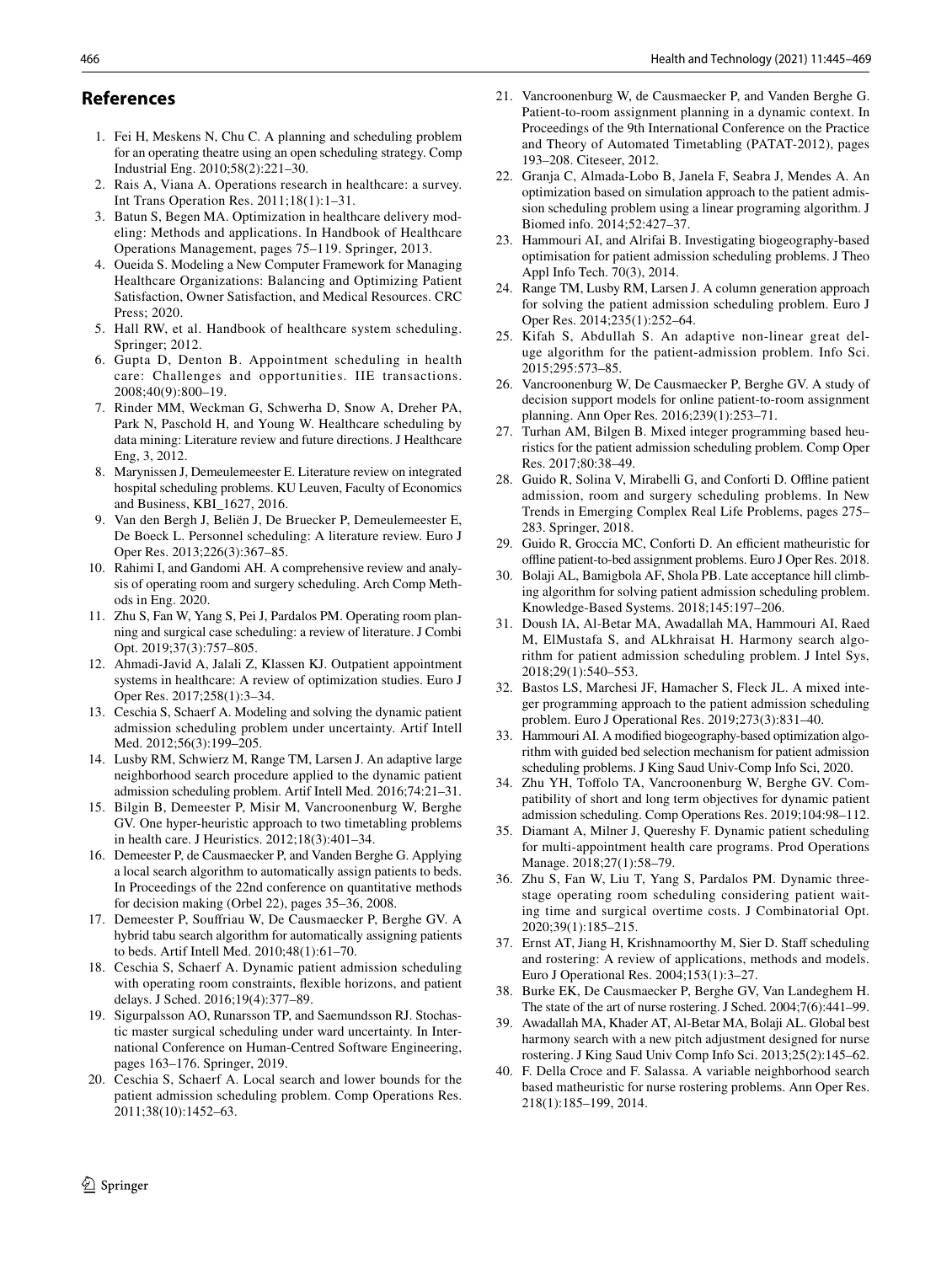### **References**

- <span id="page-21-0"></span> 1. Fei H, Meskens N, Chu C. A planning and scheduling problem for an operating theatre using an open scheduling strategy. Comp Industrial Eng. 2010;58(2):221–30.
- <span id="page-21-1"></span> 2. Rais A, Viana A. Operations research in healthcare: a survey. Int Trans Operation Res. 2011;18(1):1–31.
- <span id="page-21-2"></span> 3. Batun S, Begen MA. Optimization in healthcare delivery modeling: Methods and applications. In Handbook of Healthcare Operations Management, pages 75–119. Springer, 2013.
- <span id="page-21-3"></span> 4. Oueida S. Modeling a New Computer Framework for Managing Healthcare Organizations: Balancing and Optimizing Patient Satisfaction, Owner Satisfaction, and Medical Resources. CRC Press; 2020.
- <span id="page-21-4"></span> 5. Hall RW, et al. Handbook of healthcare system scheduling. Springer; 2012.
- <span id="page-21-5"></span> 6. Gupta D, Denton B. Appointment scheduling in health care: Challenges and opportunities. IIE transactions. 2008;40(9):800–19.
- <span id="page-21-6"></span> 7. Rinder MM, Weckman G, Schwerha D, Snow A, Dreher PA, Park N, Paschold H, and Young W. Healthcare scheduling by data mining: Literature review and future directions. J Healthcare Eng, 3, 2012.
- <span id="page-21-7"></span> 8. Marynissen J, Demeulemeester E. Literature review on integrated hospital scheduling problems. KU Leuven, Faculty of Economics and Business, KBI\_1627, 2016.
- <span id="page-21-8"></span> 9. Van den Bergh J, Beliën J, De Bruecker P, Demeulemeester E, De Boeck L. Personnel scheduling: A literature review. Euro J Oper Res. 2013;226(3):367–85.
- <span id="page-21-9"></span> 10. Rahimi I, and Gandomi AH. A comprehensive review and analysis of operating room and surgery scheduling. Arch Comp Methods in Eng. 2020.
- <span id="page-21-10"></span> 11. Zhu S, Fan W, Yang S, Pei J, Pardalos PM. Operating room planning and surgical case scheduling: a review of literature. J Combi Opt. 2019;37(3):757–805.
- <span id="page-21-11"></span> 12. Ahmadi-Javid A, Jalali Z, Klassen KJ. Outpatient appointment systems in healthcare: A review of optimization studies. Euro J Oper Res. 2017;258(1):3–34.
- <span id="page-21-12"></span> 13. Ceschia S, Schaerf A. Modeling and solving the dynamic patient admission scheduling problem under uncertainty. Artif Intell Med. 2012;56(3):199–205.
- <span id="page-21-13"></span> 14. Lusby RM, Schwierz M, Range TM, Larsen J. An adaptive large neighborhood search procedure applied to the dynamic patient admission scheduling problem. Artif Intell Med. 2016;74:21–31.
- <span id="page-21-14"></span> 15. Bilgin B, Demeester P, Misir M, Vancroonenburg W, Berghe GV. One hyper-heuristic approach to two timetabling problems in health care. J Heuristics. 2012;18(3):401–34.
- <span id="page-21-15"></span> 16. Demeester P, de Causmaecker P, and Vanden Berghe G. Applying a local search algorithm to automatically assign patients to beds. In Proceedings of the 22nd conference on quantitative methods for decision making (Orbel 22), pages 35–36, 2008.
- <span id="page-21-16"></span> 17. Demeester P, Souffriau W, De Causmaecker P, Berghe GV. A hybrid tabu search algorithm for automatically assigning patients to beds. Artif Intell Med. 2010;48(1):61–70.
- <span id="page-21-17"></span> 18. Ceschia S, Schaerf A. Dynamic patient admission scheduling with operating room constraints, flexible horizons, and patient delays. J Sched. 2016;19(4):377–89.
- <span id="page-21-18"></span> 19. Sigurpalsson AO, Runarsson TP, and Saemundsson RJ. Stochastic master surgical scheduling under ward uncertainty. In International Conference on Human-Centred Software Engineering, pages 163–176. Springer, 2019.
- <span id="page-21-19"></span> 20. Ceschia S, Schaerf A. Local search and lower bounds for the patient admission scheduling problem. Comp Operations Res. 2011;38(10):1452–63.
- <span id="page-21-20"></span> 21. Vancroonenburg W, de Causmaecker P, and Vanden Berghe G. Patient-to-room assignment planning in a dynamic context. In Proceedings of the 9th International Conference on the Practice and Theory of Automated Timetabling (PATAT-2012), pages 193–208. Citeseer, 2012.
- <span id="page-21-21"></span> 22. Granja C, Almada-Lobo B, Janela F, Seabra J, Mendes A. An optimization based on simulation approach to the patient admission scheduling problem using a linear programing algorithm. J Biomed info. 2014;52:427–37.
- <span id="page-21-22"></span> 23. Hammouri AI, and Alrifai B. Investigating biogeography-based optimisation for patient admission scheduling problems. J Theo Appl Info Tech. 70(3), 2014.
- <span id="page-21-23"></span> 24. Range TM, Lusby RM, Larsen J. A column generation approach for solving the patient admission scheduling problem. Euro J Oper Res. 2014;235(1):252–64.
- <span id="page-21-24"></span> 25. Kifah S, Abdullah S. An adaptive non-linear great deluge algorithm for the patient-admission problem. Info Sci. 2015;295:573–85.
- <span id="page-21-25"></span> 26. Vancroonenburg W, De Causmaecker P, Berghe GV. A study of decision support models for online patient-to-room assignment planning. Ann Oper Res. 2016;239(1):253–71.
- <span id="page-21-26"></span> 27. Turhan AM, Bilgen B. Mixed integer programming based heuristics for the patient admission scheduling problem. Comp Oper Res. 2017;80:38–49.
- <span id="page-21-27"></span> 28. Guido R, Solina V, Mirabelli G, and Conforti D. Offline patient admission, room and surgery scheduling problems. In New Trends in Emerging Complex Real Life Problems, pages 275– 283. Springer, 2018.
- <span id="page-21-28"></span> 29. Guido R, Groccia MC, Conforti D. An efficient matheuristic for offline patient-to-bed assignment problems. Euro J Oper Res. 2018.
- <span id="page-21-29"></span> 30. Bolaji AL, Bamigbola AF, Shola PB. Late acceptance hill climbing algorithm for solving patient admission scheduling problem. Knowledge-Based Systems. 2018;145:197–206.
- <span id="page-21-30"></span> 31. Doush IA, Al-Betar MA, Awadallah MA, Hammouri AI, Raed M, ElMustafa S, and ALkhraisat H. Harmony search algorithm for patient admission scheduling problem. J Intel Sys, 2018;29(1):540–553.
- <span id="page-21-31"></span> 32. Bastos LS, Marchesi JF, Hamacher S, Fleck JL. A mixed integer programming approach to the patient admission scheduling problem. Euro J Operational Res. 2019;273(3):831–40.
- <span id="page-21-32"></span> 33. Hammouri AI. A modified biogeography-based optimization algorithm with guided bed selection mechanism for patient admission scheduling problems. J King Saud Univ-Comp Info Sci, 2020.
- <span id="page-21-33"></span> 34. Zhu YH, Toffolo TA, Vancroonenburg W, Berghe GV. Compatibility of short and long term objectives for dynamic patient admission scheduling. Comp Operations Res. 2019;104:98–112.
- <span id="page-21-37"></span> 35. Diamant A, Milner J, Quereshy F. Dynamic patient scheduling for multi-appointment health care programs. Prod Operations Manage. 2018;27(1):58–79.
- <span id="page-21-38"></span> 36. Zhu S, Fan W, Liu T, Yang S, Pardalos PM. Dynamic threestage operating room scheduling considering patient waiting time and surgical overtime costs. J Combinatorial Opt. 2020;39(1):185–215.
- <span id="page-21-34"></span> 37. Ernst AT, Jiang H, Krishnamoorthy M, Sier D. Staff scheduling and rostering: A review of applications, methods and models. Euro J Operational Res. 2004;153(1):3–27.
- <span id="page-21-35"></span> 38. Burke EK, De Causmaecker P, Berghe GV, Van Landeghem H. The state of the art of nurse rostering. J Sched. 2004;7(6):441–99.
- <span id="page-21-36"></span> 39. Awadallah MA, Khader AT, Al-Betar MA, Bolaji AL. Global best harmony search with a new pitch adjustment designed for nurse rostering. J King Saud Univ Comp Info Sci. 2013;25(2):145–62.
- <span id="page-21-39"></span> 40. F. Della Croce and F. Salassa. A variable neighborhood search based matheuristic for nurse rostering problems. Ann Oper Res. 218(1):185–199, 2014.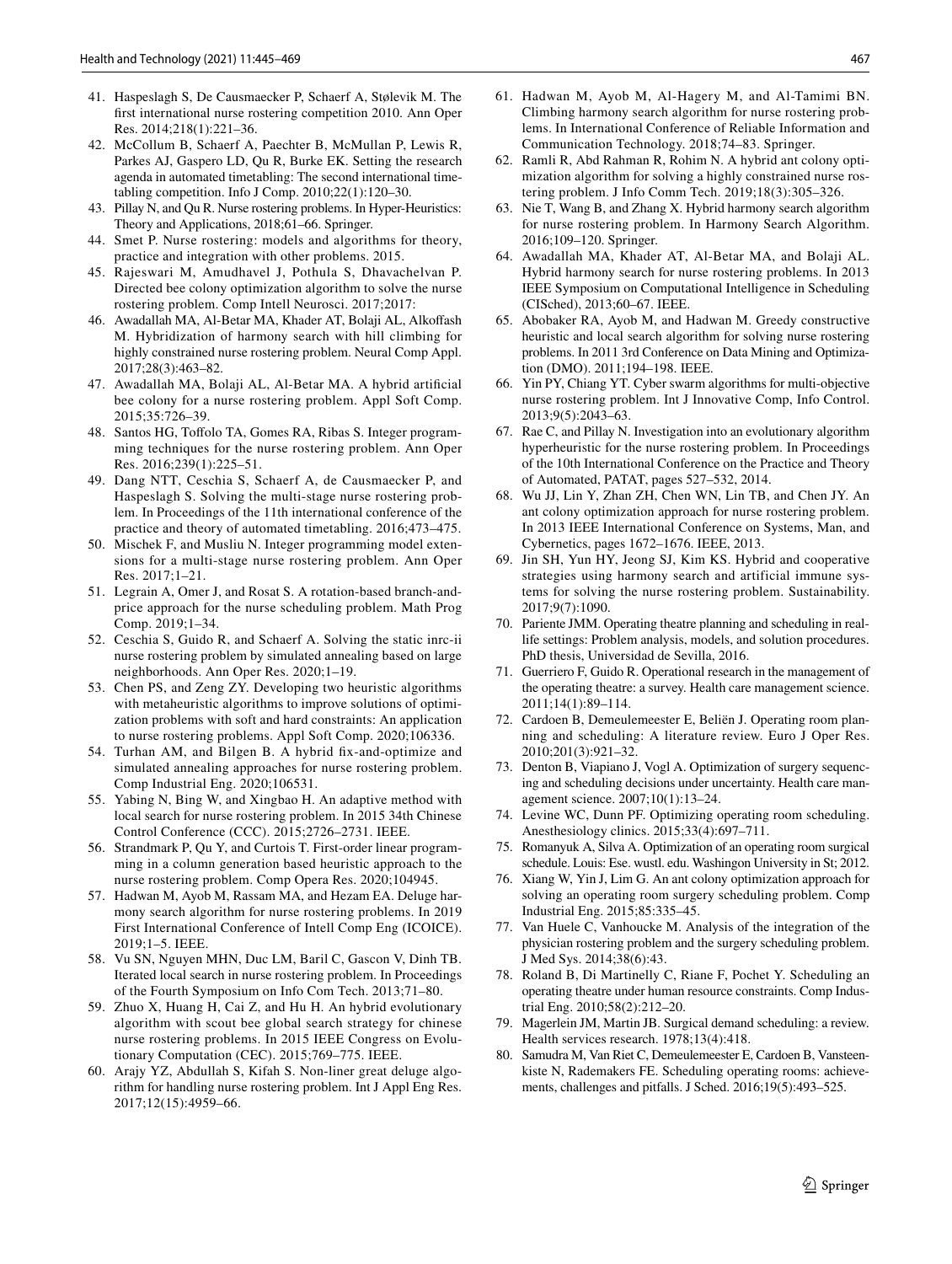- <span id="page-22-1"></span><span id="page-22-0"></span> 42. McCollum B, Schaerf A, Paechter B, McMullan P, Lewis R, Parkes AJ, Gaspero LD, Qu R, Burke EK. Setting the research agenda in automated timetabling: The second international timetabling competition. Info J Comp. 2010;22(1):120–30.
- <span id="page-22-2"></span> 43. Pillay N, and Qu R. Nurse rostering problems. In Hyper-Heuristics: Theory and Applications, 2018;61–66. Springer.
- <span id="page-22-3"></span> 44. Smet P. Nurse rostering: models and algorithms for theory, practice and integration with other problems. 2015.
- <span id="page-22-4"></span> 45. Rajeswari M, Amudhavel J, Pothula S, Dhavachelvan P. Directed bee colony optimization algorithm to solve the nurse rostering problem. Comp Intell Neurosci. 2017;2017:
- <span id="page-22-5"></span> 46. Awadallah MA, Al-Betar MA, Khader AT, Bolaji AL, Alkoffash M. Hybridization of harmony search with hill climbing for highly constrained nurse rostering problem. Neural Comp Appl. 2017;28(3):463–82.
- <span id="page-22-6"></span> 47. Awadallah MA, Bolaji AL, Al-Betar MA. A hybrid artificial bee colony for a nurse rostering problem. Appl Soft Comp. 2015;35:726–39.
- <span id="page-22-7"></span> 48. Santos HG, Toffolo TA, Gomes RA, Ribas S. Integer programming techniques for the nurse rostering problem. Ann Oper Res. 2016;239(1):225–51.
- <span id="page-22-8"></span> 49. Dang NTT, Ceschia S, Schaerf A, de Causmaecker P, and Haspeslagh S. Solving the multi-stage nurse rostering problem. In Proceedings of the 11th international conference of the practice and theory of automated timetabling. 2016;473–475.
- <span id="page-22-9"></span> 50. Mischek F, and Musliu N. Integer programming model extensions for a multi-stage nurse rostering problem. Ann Oper Res. 2017;1–21.
- <span id="page-22-10"></span> 51. Legrain A, Omer J, and Rosat S. A rotation-based branch-andprice approach for the nurse scheduling problem. Math Prog Comp. 2019;1–34.
- <span id="page-22-11"></span> 52. Ceschia S, Guido R, and Schaerf A. Solving the static inrc-ii nurse rostering problem by simulated annealing based on large neighborhoods. Ann Oper Res. 2020;1–19.
- <span id="page-22-12"></span> 53. Chen PS, and Zeng ZY. Developing two heuristic algorithms with metaheuristic algorithms to improve solutions of optimization problems with soft and hard constraints: An application to nurse rostering problems. Appl Soft Comp. 2020;106336.
- <span id="page-22-13"></span> 54. Turhan AM, and Bilgen B. A hybrid fix-and-optimize and simulated annealing approaches for nurse rostering problem. Comp Industrial Eng. 2020;106531.
- <span id="page-22-20"></span> 55. Yabing N, Bing W, and Xingbao H. An adaptive method with local search for nurse rostering problem. In 2015 34th Chinese Control Conference (CCC). 2015;2726–2731. IEEE.
- <span id="page-22-21"></span> 56. Strandmark P, Qu Y, and Curtois T. First-order linear programming in a column generation based heuristic approach to the nurse rostering problem. Comp Opera Res. 2020;104945.
- <span id="page-22-22"></span> 57. Hadwan M, Ayob M, Rassam MA, and Hezam EA. Deluge harmony search algorithm for nurse rostering problems. In 2019 First International Conference of Intell Comp Eng (ICOICE). 2019;1–5. IEEE.
- <span id="page-22-23"></span> 58. Vu SN, Nguyen MHN, Duc LM, Baril C, Gascon V, Dinh TB. Iterated local search in nurse rostering problem. In Proceedings of the Fourth Symposium on Info Com Tech. 2013;71–80.
- <span id="page-22-24"></span> 59. Zhuo X, Huang H, Cai Z, and Hu H. An hybrid evolutionary algorithm with scout bee global search strategy for chinese nurse rostering problems. In 2015 IEEE Congress on Evolutionary Computation (CEC). 2015;769–775. IEEE.
- <span id="page-22-25"></span> 60. Arajy YZ, Abdullah S, Kifah S. Non-liner great deluge algorithm for handling nurse rostering problem. Int J Appl Eng Res. 2017;12(15):4959–66.
- <span id="page-22-26"></span> 61. Hadwan M, Ayob M, Al-Hagery M, and Al-Tamimi BN. Climbing harmony search algorithm for nurse rostering problems. In International Conference of Reliable Information and Communication Technology. 2018;74–83. Springer.
- <span id="page-22-27"></span> 62. Ramli R, Abd Rahman R, Rohim N. A hybrid ant colony optimization algorithm for solving a highly constrained nurse rostering problem. J Info Comm Tech. 2019;18(3):305–326.
- <span id="page-22-28"></span> 63. Nie T, Wang B, and Zhang X. Hybrid harmony search algorithm for nurse rostering problem. In Harmony Search Algorithm. 2016;109–120. Springer.
- <span id="page-22-29"></span> 64. Awadallah MA, Khader AT, Al-Betar MA, and Bolaji AL. Hybrid harmony search for nurse rostering problems. In 2013 IEEE Symposium on Computational Intelligence in Scheduling (CISched), 2013;60–67. IEEE.
- <span id="page-22-30"></span> 65. Abobaker RA, Ayob M, and Hadwan M. Greedy constructive heuristic and local search algorithm for solving nurse rostering problems. In 2011 3rd Conference on Data Mining and Optimization (DMO). 2011;194–198. IEEE.
- <span id="page-22-31"></span> 66. Yin PY, Chiang YT. Cyber swarm algorithms for multi-objective nurse rostering problem. Int J Innovative Comp, Info Control. 2013;9(5):2043–63.
- <span id="page-22-32"></span> 67. Rae C, and Pillay N. Investigation into an evolutionary algorithm hyperheuristic for the nurse rostering problem. In Proceedings of the 10th International Conference on the Practice and Theory of Automated, PATAT, pages 527–532, 2014.
- <span id="page-22-33"></span> 68. Wu JJ, Lin Y, Zhan ZH, Chen WN, Lin TB, and Chen JY. An ant colony optimization approach for nurse rostering problem. In 2013 IEEE International Conference on Systems, Man, and Cybernetics, pages 1672–1676. IEEE, 2013.
- <span id="page-22-34"></span> 69. Jin SH, Yun HY, Jeong SJ, Kim KS. Hybrid and cooperative strategies using harmony search and artificial immune systems for solving the nurse rostering problem. Sustainability. 2017;9(7):1090.
- <span id="page-22-14"></span> 70. Pariente JMM. Operating theatre planning and scheduling in reallife settings: Problem analysis, models, and solution procedures. PhD thesis, Universidad de Sevilla, 2016.
- <span id="page-22-15"></span> 71. Guerriero F, Guido R. Operational research in the management of the operating theatre: a survey. Health care management science. 2011;14(1):89–114.
- <span id="page-22-16"></span> 72. Cardoen B, Demeulemeester E, Beliën J. Operating room planning and scheduling: A literature review. Euro J Oper Res. 2010;201(3):921–32.
- <span id="page-22-17"></span> 73. Denton B, Viapiano J, Vogl A. Optimization of surgery sequencing and scheduling decisions under uncertainty. Health care management science. 2007;10(1):13–24.
- <span id="page-22-18"></span>Levine WC, Dunn PF. Optimizing operating room scheduling. Anesthesiology clinics. 2015;33(4):697–711.
- <span id="page-22-19"></span> 75. Romanyuk A, Silva A. Optimization of an operating room surgical schedule. Louis: Ese. wustl. edu. Washingon University in St; 2012.
- <span id="page-22-35"></span> 76. Xiang W, Yin J, Lim G. An ant colony optimization approach for solving an operating room surgery scheduling problem. Comp Industrial Eng. 2015;85:335–45.
- <span id="page-22-36"></span> 77. Van Huele C, Vanhoucke M. Analysis of the integration of the physician rostering problem and the surgery scheduling problem. J Med Sys. 2014;38(6):43.
- <span id="page-22-37"></span> 78. Roland B, Di Martinelly C, Riane F, Pochet Y. Scheduling an operating theatre under human resource constraints. Comp Industrial Eng. 2010;58(2):212–20.
- <span id="page-22-38"></span> 79. Magerlein JM, Martin JB. Surgical demand scheduling: a review. Health services research. 1978;13(4):418.
- <span id="page-22-39"></span> 80. Samudra M, Van Riet C, Demeulemeester E, Cardoen B, Vansteenkiste N, Rademakers FE. Scheduling operating rooms: achievements, challenges and pitfalls. J Sched. 2016;19(5):493–525.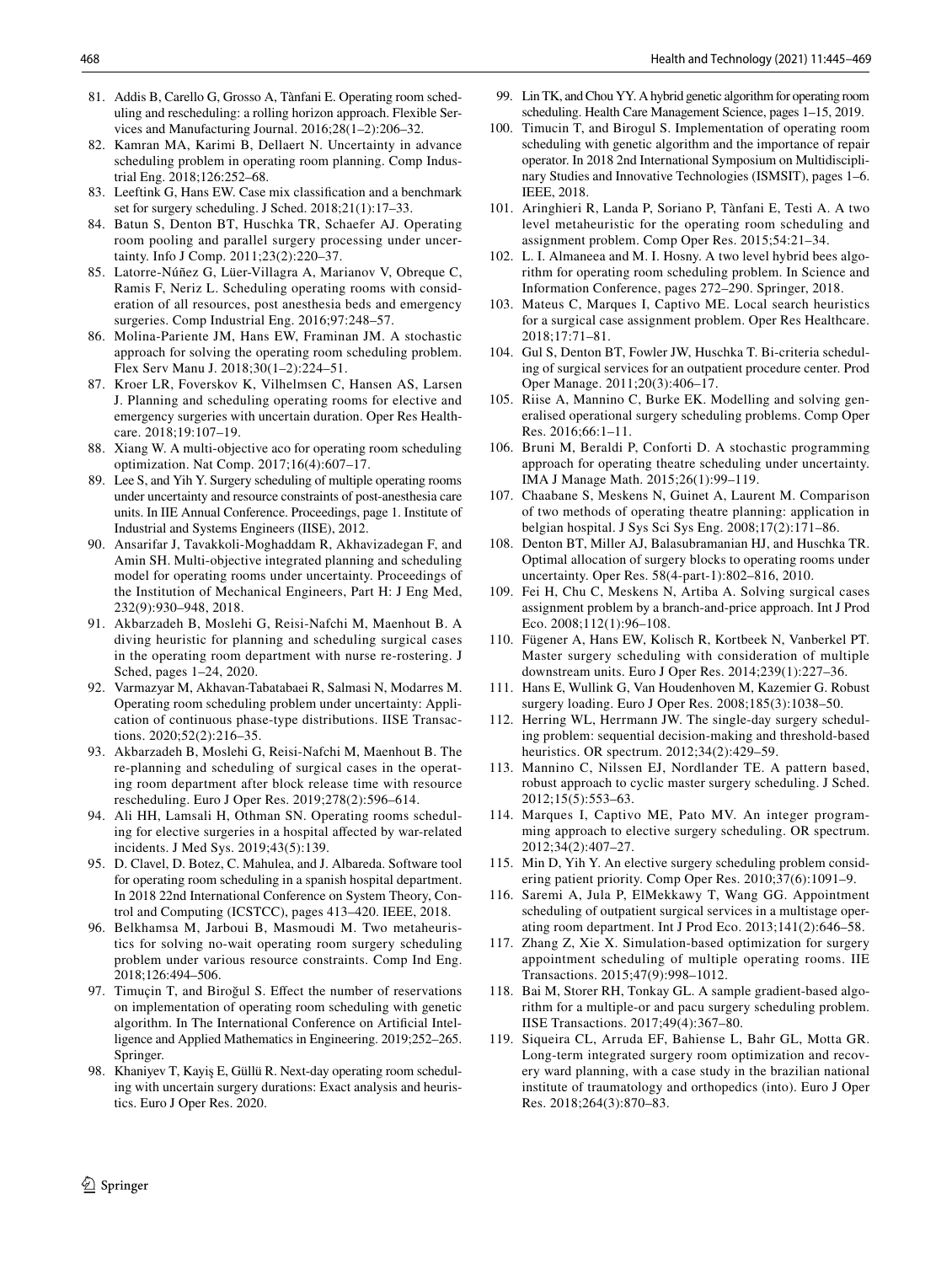- <span id="page-23-0"></span> 81. Addis B, Carello G, Grosso A, Tànfani E. Operating room scheduling and rescheduling: a rolling horizon approach. Flexible Services and Manufacturing Journal. 2016;28(1–2):206–32.
- <span id="page-23-1"></span> 82. Kamran MA, Karimi B, Dellaert N. Uncertainty in advance scheduling problem in operating room planning. Comp Industrial Eng. 2018;126:252–68.
- <span id="page-23-2"></span> 83. Leeftink G, Hans EW. Case mix classification and a benchmark set for surgery scheduling. J Sched. 2018;21(1):17–33.
- <span id="page-23-3"></span> 84. Batun S, Denton BT, Huschka TR, Schaefer AJ. Operating room pooling and parallel surgery processing under uncertainty. Info J Comp. 2011;23(2):220–37.
- <span id="page-23-6"></span> 85. Latorre-Núñez G, Lüer-Villagra A, Marianov V, Obreque C, Ramis F, Neriz L. Scheduling operating rooms with consideration of all resources, post anesthesia beds and emergency surgeries. Comp Industrial Eng. 2016;97:248–57.
- <span id="page-23-7"></span> 86. Molina-Pariente JM, Hans EW, Framinan JM. A stochastic approach for solving the operating room scheduling problem. Flex Serv Manu J. 2018;30(1–2):224–51.
- <span id="page-23-8"></span> 87. Kroer LR, Foverskov K, Vilhelmsen C, Hansen AS, Larsen J. Planning and scheduling operating rooms for elective and emergency surgeries with uncertain duration. Oper Res Healthcare. 2018;19:107–19.
- <span id="page-23-9"></span> 88. Xiang W. A multi-objective aco for operating room scheduling optimization. Nat Comp. 2017;16(4):607–17.
- <span id="page-23-10"></span> 89. Lee S, and Yih Y. Surgery scheduling of multiple operating rooms under uncertainty and resource constraints of post-anesthesia care units. In IIE Annual Conference. Proceedings, page 1. Institute of Industrial and Systems Engineers (IISE), 2012.
- <span id="page-23-11"></span> 90. Ansarifar J, Tavakkoli-Moghaddam R, Akhavizadegan F, and Amin SH. Multi-objective integrated planning and scheduling model for operating rooms under uncertainty. Proceedings of the Institution of Mechanical Engineers, Part H: J Eng Med, 232(9):930–948, 2018.
- <span id="page-23-12"></span> 91. Akbarzadeh B, Moslehi G, Reisi-Nafchi M, Maenhout B. A diving heuristic for planning and scheduling surgical cases in the operating room department with nurse re-rostering. J Sched, pages 1–24, 2020.
- <span id="page-23-13"></span> 92. Varmazyar M, Akhavan-Tabatabaei R, Salmasi N, Modarres M. Operating room scheduling problem under uncertainty: Application of continuous phase-type distributions. IISE Transactions. 2020;52(2):216–35.
- <span id="page-23-14"></span> 93. Akbarzadeh B, Moslehi G, Reisi-Nafchi M, Maenhout B. The re-planning and scheduling of surgical cases in the operating room department after block release time with resource rescheduling. Euro J Oper Res. 2019;278(2):596–614.
- <span id="page-23-15"></span> 94. Ali HH, Lamsali H, Othman SN. Operating rooms scheduling for elective surgeries in a hospital affected by war-related incidents. J Med Sys. 2019;43(5):139.
- <span id="page-23-16"></span> 95. D. Clavel, D. Botez, C. Mahulea, and J. Albareda. Software tool for operating room scheduling in a spanish hospital department. In 2018 22nd International Conference on System Theory, Control and Computing (ICSTCC), pages 413–420. IEEE, 2018.
- <span id="page-23-17"></span> 96. Belkhamsa M, Jarboui B, Masmoudi M. Two metaheuristics for solving no-wait operating room surgery scheduling problem under various resource constraints. Comp Ind Eng. 2018;126:494–506.
- <span id="page-23-18"></span> 97. Timuçin T, and Biroğul S. Effect the number of reservations on implementation of operating room scheduling with genetic algorithm. In The International Conference on Artificial Intelligence and Applied Mathematics in Engineering. 2019;252–265. Springer.
- <span id="page-23-19"></span> 98. Khaniyev T, Kayiş E, Güllü R. Next-day operating room scheduling with uncertain surgery durations: Exact analysis and heuristics. Euro J Oper Res. 2020.
- <span id="page-23-20"></span> 99. Lin TK, and Chou YY. A hybrid genetic algorithm for operating room scheduling. Health Care Management Science, pages 1–15, 2019.
- <span id="page-23-21"></span> 100. Timucin T, and Birogul S. Implementation of operating room scheduling with genetic algorithm and the importance of repair operator. In 2018 2nd International Symposium on Multidisciplinary Studies and Innovative Technologies (ISMSIT), pages 1–6. IEEE, 2018.
- <span id="page-23-22"></span> 101. Aringhieri R, Landa P, Soriano P, Tànfani E, Testi A. A two level metaheuristic for the operating room scheduling and assignment problem. Comp Oper Res. 2015;54:21–34.
- <span id="page-23-23"></span> 102. L. I. Almaneea and M. I. Hosny. A two level hybrid bees algorithm for operating room scheduling problem. In Science and Information Conference, pages 272–290. Springer, 2018.
- <span id="page-23-24"></span> 103. Mateus C, Marques I, Captivo ME. Local search heuristics for a surgical case assignment problem. Oper Res Healthcare. 2018;17:71–81.
- <span id="page-23-4"></span> 104. Gul S, Denton BT, Fowler JW, Huschka T. Bi-criteria scheduling of surgical services for an outpatient procedure center. Prod Oper Manage. 2011;20(3):406–17.
- <span id="page-23-5"></span> 105. Riise A, Mannino C, Burke EK. Modelling and solving generalised operational surgery scheduling problems. Comp Oper Res. 2016;66:1–11.
- <span id="page-23-28"></span> 106. Bruni M, Beraldi P, Conforti D. A stochastic programming approach for operating theatre scheduling under uncertainty. IMA J Manage Math. 2015;26(1):99–119.
- <span id="page-23-29"></span> 107. Chaabane S, Meskens N, Guinet A, Laurent M. Comparison of two methods of operating theatre planning: application in belgian hospital. J Sys Sci Sys Eng. 2008;17(2):171–86.
- <span id="page-23-26"></span> 108. Denton BT, Miller AJ, Balasubramanian HJ, and Huschka TR. Optimal allocation of surgery blocks to operating rooms under uncertainty. Oper Res. 58(4-part-1):802–816, 2010.
- <span id="page-23-30"></span> 109. Fei H, Chu C, Meskens N, Artiba A. Solving surgical cases assignment problem by a branch-and-price approach. Int J Prod Eco. 2008;112(1):96–108.
- <span id="page-23-31"></span> 110. Fügener A, Hans EW, Kolisch R, Kortbeek N, Vanberkel PT. Master surgery scheduling with consideration of multiple downstream units. Euro J Oper Res. 2014;239(1):227–36.
- <span id="page-23-32"></span> 111. Hans E, Wullink G, Van Houdenhoven M, Kazemier G. Robust surgery loading. Euro J Oper Res. 2008;185(3):1038–50.
- <span id="page-23-33"></span> 112. Herring WL, Herrmann JW. The single-day surgery scheduling problem: sequential decision-making and threshold-based heuristics. OR spectrum. 2012;34(2):429–59.
- <span id="page-23-34"></span> 113. Mannino C, Nilssen EJ, Nordlander TE. A pattern based, robust approach to cyclic master surgery scheduling. J Sched. 2012;15(5):553–63.
- <span id="page-23-35"></span> 114. Marques I, Captivo ME, Pato MV. An integer programming approach to elective surgery scheduling. OR spectrum. 2012;34(2):407–27.
- <span id="page-23-36"></span> 115. Min D, Yih Y. An elective surgery scheduling problem considering patient priority. Comp Oper Res. 2010;37(6):1091–9.
- <span id="page-23-27"></span> 116. Saremi A, Jula P, ElMekkawy T, Wang GG. Appointment scheduling of outpatient surgical services in a multistage operating room department. Int J Prod Eco. 2013;141(2):646–58.
- <span id="page-23-37"></span> 117. Zhang Z, Xie X. Simulation-based optimization for surgery appointment scheduling of multiple operating rooms. IIE Transactions. 2015;47(9):998–1012.
- <span id="page-23-38"></span> 118. Bai M, Storer RH, Tonkay GL. A sample gradient-based algorithm for a multiple-or and pacu surgery scheduling problem. IISE Transactions. 2017;49(4):367–80.
- <span id="page-23-25"></span> 119. Siqueira CL, Arruda EF, Bahiense L, Bahr GL, Motta GR. Long-term integrated surgery room optimization and recovery ward planning, with a case study in the brazilian national institute of traumatology and orthopedics (into). Euro J Oper Res. 2018;264(3):870–83.